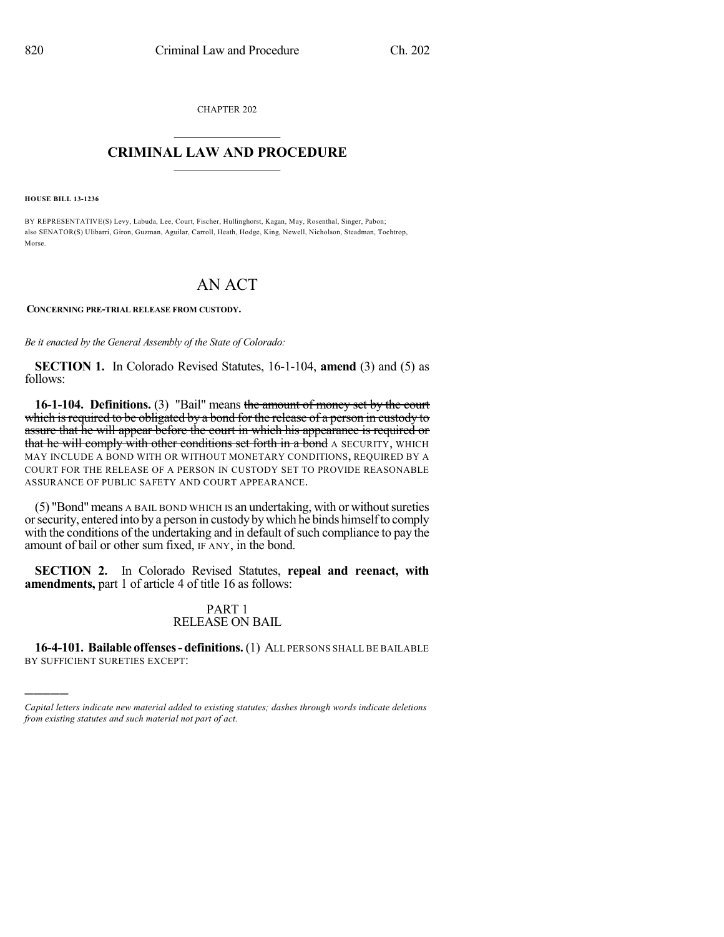CHAPTER 202  $\overline{\phantom{a}}$  . The set of the set of the set of the set of the set of the set of the set of the set of the set of the set of the set of the set of the set of the set of the set of the set of the set of the set of the set o

## **CRIMINAL LAW AND PROCEDURE**  $\frac{1}{2}$  ,  $\frac{1}{2}$  ,  $\frac{1}{2}$  ,  $\frac{1}{2}$  ,  $\frac{1}{2}$  ,  $\frac{1}{2}$  ,  $\frac{1}{2}$

**HOUSE BILL 13-1236**

)))))

BY REPRESENTATIVE(S) Levy, Labuda, Lee, Court, Fischer, Hullinghorst, Kagan, May, Rosenthal, Singer, Pabon; also SENATOR(S) Ulibarri, Giron, Guzman, Aguilar, Carroll, Heath, Hodge, King, Newell, Nicholson, Steadman, Tochtrop, Morse.

# AN ACT

**CONCERNING PRE-TRIAL RELEASE FROM CUSTODY.**

*Be it enacted by the General Assembly of the State of Colorado:*

**SECTION 1.** In Colorado Revised Statutes, 16-1-104, **amend** (3) and (5) as follows:

**16-1-104. Definitions.** (3) "Bail" means the amount of money set by the court which is required to be obligated by a bond for the release of a person in custody to assure that he will appear before the court in which his appearance is required or that he will comply with other conditions set forth in a bond A SECURITY, WHICH MAY INCLUDE A BOND WITH OR WITHOUT MONETARY CONDITIONS, REQUIRED BY A COURT FOR THE RELEASE OF A PERSON IN CUSTODY SET TO PROVIDE REASONABLE ASSURANCE OF PUBLIC SAFETY AND COURT APPEARANCE.

(5) "Bond" means A BAIL BOND WHICH IS an undertaking, with or without sureties orsecurity, entered into by a person in custody bywhich he binds himselfto comply with the conditions of the undertaking and in default of such compliance to pay the amount of bail or other sum fixed, IF ANY, in the bond.

**SECTION 2.** In Colorado Revised Statutes, **repeal and reenact, with amendments,** part 1 of article 4 of title 16 as follows:

## PART 1 RELEASE ON BAIL

**16-4-101. Bailable offenses- definitions.**(1) ALL PERSONS SHALL BE BAILABLE BY SUFFICIENT SURETIES EXCEPT:

*Capital letters indicate new material added to existing statutes; dashes through words indicate deletions from existing statutes and such material not part of act.*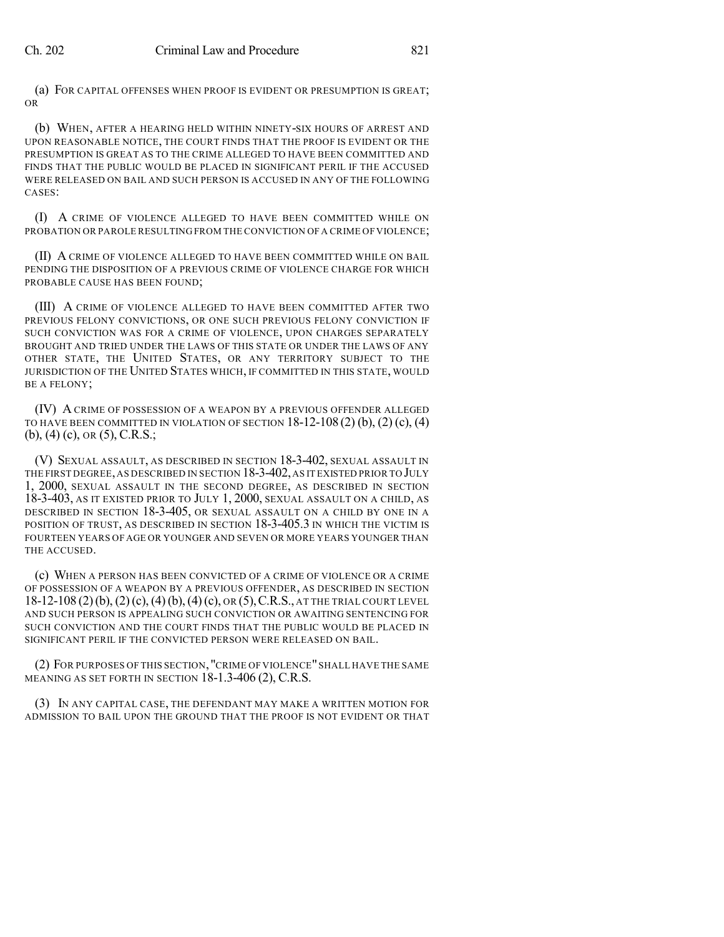(a) FOR CAPITAL OFFENSES WHEN PROOF IS EVIDENT OR PRESUMPTION IS GREAT; OR

(b) WHEN, AFTER A HEARING HELD WITHIN NINETY-SIX HOURS OF ARREST AND UPON REASONABLE NOTICE, THE COURT FINDS THAT THE PROOF IS EVIDENT OR THE PRESUMPTION IS GREAT AS TO THE CRIME ALLEGED TO HAVE BEEN COMMITTED AND FINDS THAT THE PUBLIC WOULD BE PLACED IN SIGNIFICANT PERIL IF THE ACCUSED WERE RELEASED ON BAIL AND SUCH PERSON IS ACCUSED IN ANY OF THE FOLLOWING CASES:

(I) A CRIME OF VIOLENCE ALLEGED TO HAVE BEEN COMMITTED WHILE ON PROBATION OR PAROLE RESULTING FROM THE CONVICTION OF A CRIME OF VIOLENCE;

(II) A CRIME OF VIOLENCE ALLEGED TO HAVE BEEN COMMITTED WHILE ON BAIL PENDING THE DISPOSITION OF A PREVIOUS CRIME OF VIOLENCE CHARGE FOR WHICH PROBABLE CAUSE HAS BEEN FOUND;

(III) A CRIME OF VIOLENCE ALLEGED TO HAVE BEEN COMMITTED AFTER TWO PREVIOUS FELONY CONVICTIONS, OR ONE SUCH PREVIOUS FELONY CONVICTION IF SUCH CONVICTION WAS FOR A CRIME OF VIOLENCE, UPON CHARGES SEPARATELY BROUGHT AND TRIED UNDER THE LAWS OF THIS STATE OR UNDER THE LAWS OF ANY OTHER STATE, THE UNITED STATES, OR ANY TERRITORY SUBJECT TO THE JURISDICTION OF THE UNITED STATES WHICH, IF COMMITTED IN THIS STATE, WOULD BE A FELONY;

(IV) A CRIME OF POSSESSION OF A WEAPON BY A PREVIOUS OFFENDER ALLEGED TO HAVE BEEN COMMITTED IN VIOLATION OF SECTION  $18-12-108(2)(b)$ ,  $(2)(c)$ ,  $(4)$ (b), (4) (c), OR (5), C.R.S.;

(V) SEXUAL ASSAULT, AS DESCRIBED IN SECTION 18-3-402, SEXUAL ASSAULT IN THE FIRST DEGREE,AS DESCRIBED IN SECTION 18-3-402,AS IT EXISTED PRIOR TO JULY 1, 2000, SEXUAL ASSAULT IN THE SECOND DEGREE, AS DESCRIBED IN SECTION 18-3-403, AS IT EXISTED PRIOR TO JULY 1, 2000, SEXUAL ASSAULT ON A CHILD, AS DESCRIBED IN SECTION 18-3-405, OR SEXUAL ASSAULT ON A CHILD BY ONE IN A POSITION OF TRUST, AS DESCRIBED IN SECTION 18-3-405.3 IN WHICH THE VICTIM IS FOURTEEN YEARS OF AGE OR YOUNGER AND SEVEN OR MORE YEARS YOUNGER THAN THE ACCUSED.

(c) WHEN A PERSON HAS BEEN CONVICTED OF A CRIME OF VIOLENCE OR A CRIME OF POSSESSION OF A WEAPON BY A PREVIOUS OFFENDER, AS DESCRIBED IN SECTION 18-12-108 (2)(b), (2)(c),(4)(b),(4)(c), OR (5),C.R.S., AT THE TRIAL COURT LEVEL AND SUCH PERSON IS APPEALING SUCH CONVICTION OR AWAITING SENTENCING FOR SUCH CONVICTION AND THE COURT FINDS THAT THE PUBLIC WOULD BE PLACED IN SIGNIFICANT PERIL IF THE CONVICTED PERSON WERE RELEASED ON BAIL.

(2) FOR PURPOSES OF THIS SECTION, "CRIME OF VIOLENCE"SHALL HAVE THE SAME MEANING AS SET FORTH IN SECTION 18-1.3-406 (2), C.R.S.

(3) IN ANY CAPITAL CASE, THE DEFENDANT MAY MAKE A WRITTEN MOTION FOR ADMISSION TO BAIL UPON THE GROUND THAT THE PROOF IS NOT EVIDENT OR THAT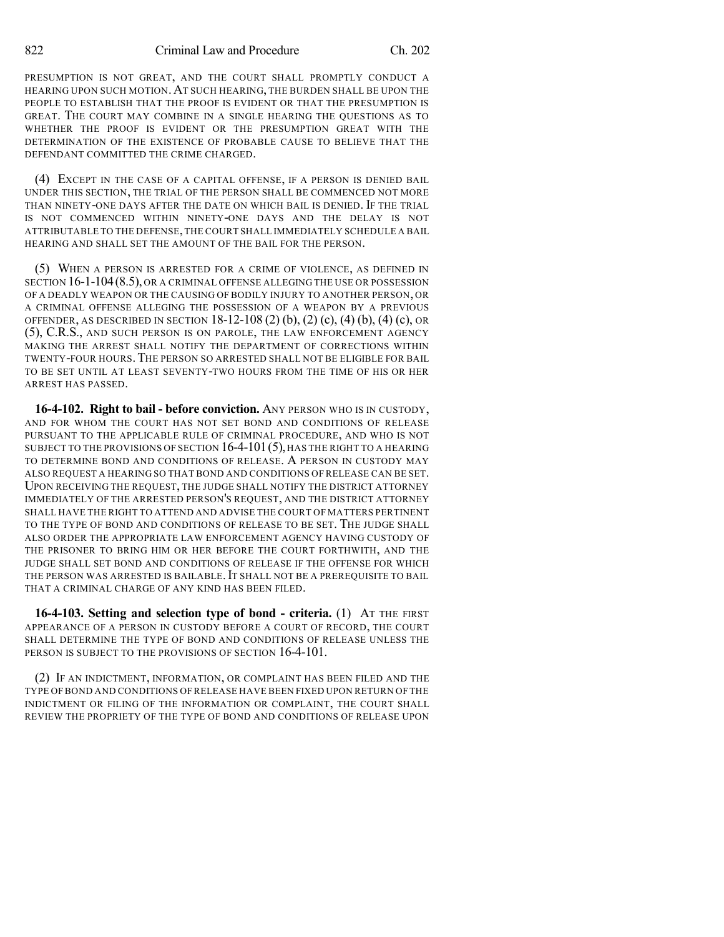PRESUMPTION IS NOT GREAT, AND THE COURT SHALL PROMPTLY CONDUCT A HEARING UPON SUCH MOTION.AT SUCH HEARING, THE BURDEN SHALL BE UPON THE PEOPLE TO ESTABLISH THAT THE PROOF IS EVIDENT OR THAT THE PRESUMPTION IS GREAT. THE COURT MAY COMBINE IN A SINGLE HEARING THE QUESTIONS AS TO WHETHER THE PROOF IS EVIDENT OR THE PRESUMPTION GREAT WITH THE DETERMINATION OF THE EXISTENCE OF PROBABLE CAUSE TO BELIEVE THAT THE DEFENDANT COMMITTED THE CRIME CHARGED.

(4) EXCEPT IN THE CASE OF A CAPITAL OFFENSE, IF A PERSON IS DENIED BAIL UNDER THIS SECTION, THE TRIAL OF THE PERSON SHALL BE COMMENCED NOT MORE THAN NINETY-ONE DAYS AFTER THE DATE ON WHICH BAIL IS DENIED. IF THE TRIAL IS NOT COMMENCED WITHIN NINETY-ONE DAYS AND THE DELAY IS NOT ATTRIBUTABLE TO THE DEFENSE,THE COURT SHALL IMMEDIATELY SCHEDULE A BAIL HEARING AND SHALL SET THE AMOUNT OF THE BAIL FOR THE PERSON.

(5) WHEN A PERSON IS ARRESTED FOR A CRIME OF VIOLENCE, AS DEFINED IN SECTION 16-1-104(8.5), OR A CRIMINAL OFFENSE ALLEGING THE USE OR POSSESSION OF A DEADLY WEAPON OR THE CAUSING OF BODILY INJURY TO ANOTHER PERSON, OR A CRIMINAL OFFENSE ALLEGING THE POSSESSION OF A WEAPON BY A PREVIOUS OFFENDER, AS DESCRIBED IN SECTION 18-12-108 (2) (b), (2) (c), (4) (b), (4) (c), OR (5), C.R.S., AND SUCH PERSON IS ON PAROLE, THE LAW ENFORCEMENT AGENCY MAKING THE ARREST SHALL NOTIFY THE DEPARTMENT OF CORRECTIONS WITHIN TWENTY-FOUR HOURS.THE PERSON SO ARRESTED SHALL NOT BE ELIGIBLE FOR BAIL TO BE SET UNTIL AT LEAST SEVENTY-TWO HOURS FROM THE TIME OF HIS OR HER ARREST HAS PASSED.

**16-4-102. Right to bail - before conviction.** ANY PERSON WHO IS IN CUSTODY, AND FOR WHOM THE COURT HAS NOT SET BOND AND CONDITIONS OF RELEASE PURSUANT TO THE APPLICABLE RULE OF CRIMINAL PROCEDURE, AND WHO IS NOT SUBJECT TO THE PROVISIONS OF SECTION 16-4-101 (5), HAS THE RIGHT TO A HEARING TO DETERMINE BOND AND CONDITIONS OF RELEASE. A PERSON IN CUSTODY MAY ALSO REQUEST A HEARING SO THAT BOND AND CONDITIONS OF RELEASE CAN BE SET. UPON RECEIVING THE REQUEST, THE JUDGE SHALL NOTIFY THE DISTRICT ATTORNEY IMMEDIATELY OF THE ARRESTED PERSON'S REQUEST, AND THE DISTRICT ATTORNEY SHALL HAVE THE RIGHT TO ATTEND AND ADVISE THE COURT OF MATTERS PERTINENT TO THE TYPE OF BOND AND CONDITIONS OF RELEASE TO BE SET. THE JUDGE SHALL ALSO ORDER THE APPROPRIATE LAW ENFORCEMENT AGENCY HAVING CUSTODY OF THE PRISONER TO BRING HIM OR HER BEFORE THE COURT FORTHWITH, AND THE JUDGE SHALL SET BOND AND CONDITIONS OF RELEASE IF THE OFFENSE FOR WHICH THE PERSON WAS ARRESTED IS BAILABLE. IT SHALL NOT BE A PREREQUISITE TO BAIL THAT A CRIMINAL CHARGE OF ANY KIND HAS BEEN FILED.

**16-4-103. Setting and selection type of bond - criteria.** (1) AT THE FIRST APPEARANCE OF A PERSON IN CUSTODY BEFORE A COURT OF RECORD, THE COURT SHALL DETERMINE THE TYPE OF BOND AND CONDITIONS OF RELEASE UNLESS THE PERSON IS SUBJECT TO THE PROVISIONS OF SECTION 16-4-101.

(2) IF AN INDICTMENT, INFORMATION, OR COMPLAINT HAS BEEN FILED AND THE TYPE OF BOND AND CONDITIONS OF RELEASE HAVE BEEN FIXED UPON RETURN OF THE INDICTMENT OR FILING OF THE INFORMATION OR COMPLAINT, THE COURT SHALL REVIEW THE PROPRIETY OF THE TYPE OF BOND AND CONDITIONS OF RELEASE UPON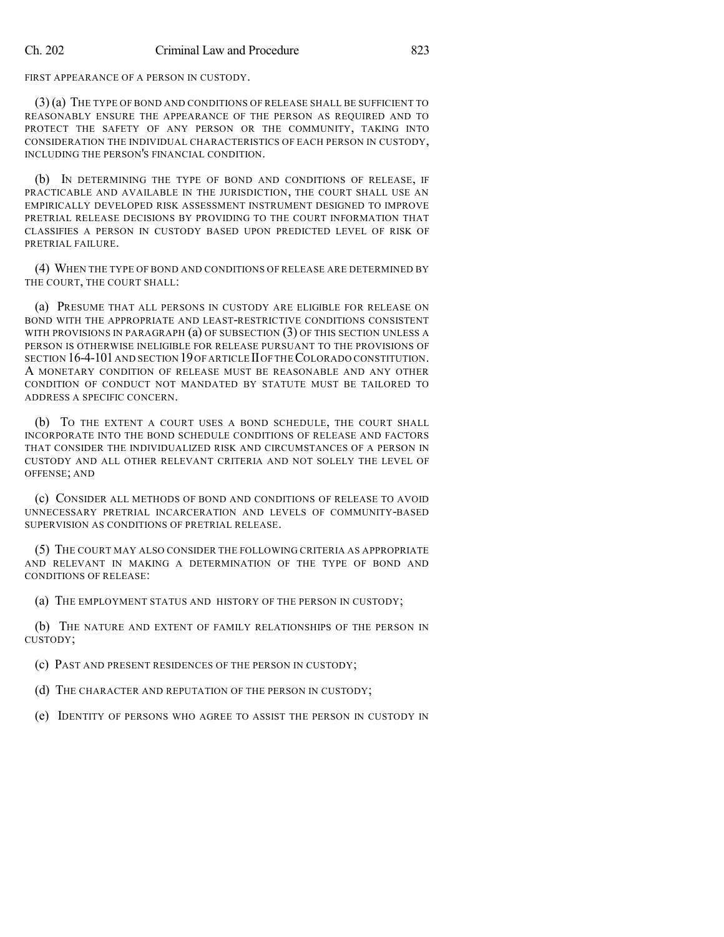FIRST APPEARANCE OF A PERSON IN CUSTODY.

(3) (a) THE TYPE OF BOND AND CONDITIONS OF RELEASE SHALL BE SUFFICIENT TO REASONABLY ENSURE THE APPEARANCE OF THE PERSON AS REQUIRED AND TO PROTECT THE SAFETY OF ANY PERSON OR THE COMMUNITY, TAKING INTO CONSIDERATION THE INDIVIDUAL CHARACTERISTICS OF EACH PERSON IN CUSTODY, INCLUDING THE PERSON'S FINANCIAL CONDITION.

(b) IN DETERMINING THE TYPE OF BOND AND CONDITIONS OF RELEASE, IF PRACTICABLE AND AVAILABLE IN THE JURISDICTION, THE COURT SHALL USE AN EMPIRICALLY DEVELOPED RISK ASSESSMENT INSTRUMENT DESIGNED TO IMPROVE PRETRIAL RELEASE DECISIONS BY PROVIDING TO THE COURT INFORMATION THAT CLASSIFIES A PERSON IN CUSTODY BASED UPON PREDICTED LEVEL OF RISK OF PRETRIAL FAILURE.

(4) WHEN THE TYPE OF BOND AND CONDITIONS OF RELEASE ARE DETERMINED BY THE COURT, THE COURT SHALL:

(a) PRESUME THAT ALL PERSONS IN CUSTODY ARE ELIGIBLE FOR RELEASE ON BOND WITH THE APPROPRIATE AND LEAST-RESTRICTIVE CONDITIONS CONSISTENT WITH PROVISIONS IN PARAGRAPH (a) OF SUBSECTION (3) OF THIS SECTION UNLESS A PERSON IS OTHERWISE INELIGIBLE FOR RELEASE PURSUANT TO THE PROVISIONS OF SECTION 16-4-101 AND SECTION 19 OF ARTICLE II OF THE COLORADO CONSTITUTION. A MONETARY CONDITION OF RELEASE MUST BE REASONABLE AND ANY OTHER CONDITION OF CONDUCT NOT MANDATED BY STATUTE MUST BE TAILORED TO ADDRESS A SPECIFIC CONCERN.

(b) TO THE EXTENT A COURT USES A BOND SCHEDULE, THE COURT SHALL INCORPORATE INTO THE BOND SCHEDULE CONDITIONS OF RELEASE AND FACTORS THAT CONSIDER THE INDIVIDUALIZED RISK AND CIRCUMSTANCES OF A PERSON IN CUSTODY AND ALL OTHER RELEVANT CRITERIA AND NOT SOLELY THE LEVEL OF OFFENSE; AND

(c) CONSIDER ALL METHODS OF BOND AND CONDITIONS OF RELEASE TO AVOID UNNECESSARY PRETRIAL INCARCERATION AND LEVELS OF COMMUNITY-BASED SUPERVISION AS CONDITIONS OF PRETRIAL RELEASE.

(5) THE COURT MAY ALSO CONSIDER THE FOLLOWING CRITERIA AS APPROPRIATE AND RELEVANT IN MAKING A DETERMINATION OF THE TYPE OF BOND AND CONDITIONS OF RELEASE:

(a) THE EMPLOYMENT STATUS AND HISTORY OF THE PERSON IN CUSTODY;

(b) THE NATURE AND EXTENT OF FAMILY RELATIONSHIPS OF THE PERSON IN CUSTODY;

(c) PAST AND PRESENT RESIDENCES OF THE PERSON IN CUSTODY;

(d) THE CHARACTER AND REPUTATION OF THE PERSON IN CUSTODY;

(e) IDENTITY OF PERSONS WHO AGREE TO ASSIST THE PERSON IN CUSTODY IN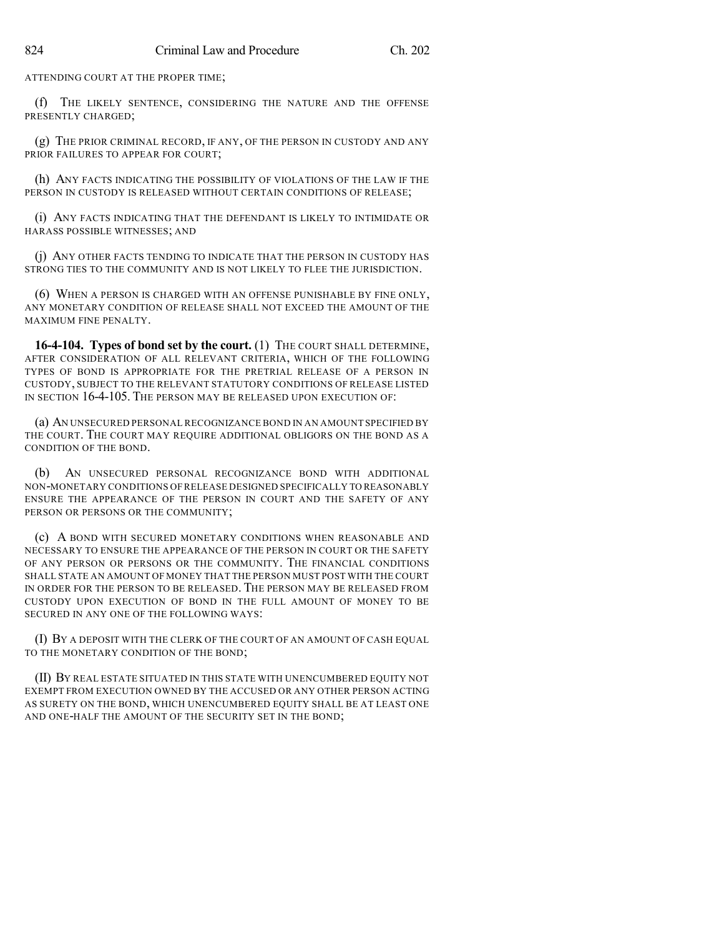ATTENDING COURT AT THE PROPER TIME;

(f) THE LIKELY SENTENCE, CONSIDERING THE NATURE AND THE OFFENSE PRESENTLY CHARGED;

(g) THE PRIOR CRIMINAL RECORD, IF ANY, OF THE PERSON IN CUSTODY AND ANY PRIOR FAILURES TO APPEAR FOR COURT;

(h) ANY FACTS INDICATING THE POSSIBILITY OF VIOLATIONS OF THE LAW IF THE PERSON IN CUSTODY IS RELEASED WITHOUT CERTAIN CONDITIONS OF RELEASE;

(i) ANY FACTS INDICATING THAT THE DEFENDANT IS LIKELY TO INTIMIDATE OR HARASS POSSIBLE WITNESSES; AND

(j) ANY OTHER FACTS TENDING TO INDICATE THAT THE PERSON IN CUSTODY HAS STRONG TIES TO THE COMMUNITY AND IS NOT LIKELY TO FLEE THE JURISDICTION.

(6) WHEN A PERSON IS CHARGED WITH AN OFFENSE PUNISHABLE BY FINE ONLY, ANY MONETARY CONDITION OF RELEASE SHALL NOT EXCEED THE AMOUNT OF THE MAXIMUM FINE PENALTY.

**16-4-104. Types of bond set by the court.** (1) THE COURT SHALL DETERMINE, AFTER CONSIDERATION OF ALL RELEVANT CRITERIA, WHICH OF THE FOLLOWING TYPES OF BOND IS APPROPRIATE FOR THE PRETRIAL RELEASE OF A PERSON IN CUSTODY, SUBJECT TO THE RELEVANT STATUTORY CONDITIONS OF RELEASE LISTED IN SECTION 16-4-105. THE PERSON MAY BE RELEASED UPON EXECUTION OF:

(a) AN UNSECURED PERSONAL RECOGNIZANCE BOND IN AN AMOUNT SPECIFIED BY THE COURT. THE COURT MAY REQUIRE ADDITIONAL OBLIGORS ON THE BOND AS A CONDITION OF THE BOND.

(b) AN UNSECURED PERSONAL RECOGNIZANCE BOND WITH ADDITIONAL NON-MONETARY CONDITIONS OF RELEASE DESIGNED SPECIFICALLY TO REASONABLY ENSURE THE APPEARANCE OF THE PERSON IN COURT AND THE SAFETY OF ANY PERSON OR PERSONS OR THE COMMUNITY;

(c) A BOND WITH SECURED MONETARY CONDITIONS WHEN REASONABLE AND NECESSARY TO ENSURE THE APPEARANCE OF THE PERSON IN COURT OR THE SAFETY OF ANY PERSON OR PERSONS OR THE COMMUNITY. THE FINANCIAL CONDITIONS SHALL STATE AN AMOUNT OF MONEY THAT THE PERSON MUST POST WITH THE COURT IN ORDER FOR THE PERSON TO BE RELEASED. THE PERSON MAY BE RELEASED FROM CUSTODY UPON EXECUTION OF BOND IN THE FULL AMOUNT OF MONEY TO BE SECURED IN ANY ONE OF THE FOLLOWING WAYS:

(I) BY A DEPOSIT WITH THE CLERK OF THE COURT OF AN AMOUNT OF CASH EQUAL TO THE MONETARY CONDITION OF THE BOND;

(II) BY REAL ESTATE SITUATED IN THIS STATE WITH UNENCUMBERED EQUITY NOT EXEMPT FROM EXECUTION OWNED BY THE ACCUSED OR ANY OTHER PERSON ACTING AS SURETY ON THE BOND, WHICH UNENCUMBERED EQUITY SHALL BE AT LEAST ONE AND ONE-HALF THE AMOUNT OF THE SECURITY SET IN THE BOND;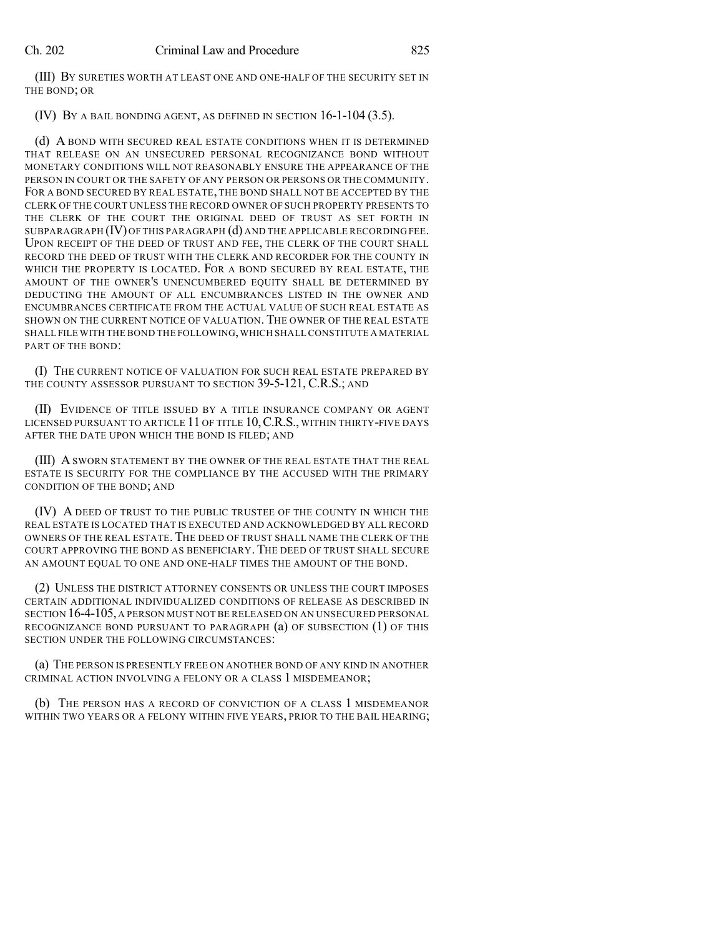(III) BY SURETIES WORTH AT LEAST ONE AND ONE-HALF OF THE SECURITY SET IN THE BOND; OR

(IV) BY A BAIL BONDING AGENT, AS DEFINED IN SECTION 16-1-104 (3.5).

(d) A BOND WITH SECURED REAL ESTATE CONDITIONS WHEN IT IS DETERMINED THAT RELEASE ON AN UNSECURED PERSONAL RECOGNIZANCE BOND WITHOUT MONETARY CONDITIONS WILL NOT REASONABLY ENSURE THE APPEARANCE OF THE PERSON IN COURT OR THE SAFETY OF ANY PERSON OR PERSONS OR THE COMMUNITY. FOR A BOND SECURED BY REAL ESTATE, THE BOND SHALL NOT BE ACCEPTED BY THE CLERK OF THE COURT UNLESS THE RECORD OWNER OF SUCH PROPERTY PRESENTS TO THE CLERK OF THE COURT THE ORIGINAL DEED OF TRUST AS SET FORTH IN SUBPARAGRAPH  $(IV)$  OF THIS PARAGRAPH  $(d)$  and the applicable recording fee. UPON RECEIPT OF THE DEED OF TRUST AND FEE, THE CLERK OF THE COURT SHALL RECORD THE DEED OF TRUST WITH THE CLERK AND RECORDER FOR THE COUNTY IN WHICH THE PROPERTY IS LOCATED. FOR A BOND SECURED BY REAL ESTATE, THE AMOUNT OF THE OWNER'S UNENCUMBERED EQUITY SHALL BE DETERMINED BY DEDUCTING THE AMOUNT OF ALL ENCUMBRANCES LISTED IN THE OWNER AND ENCUMBRANCES CERTIFICATE FROM THE ACTUAL VALUE OF SUCH REAL ESTATE AS SHOWN ON THE CURRENT NOTICE OF VALUATION. THE OWNER OF THE REAL ESTATE SHALL FILE WITH THE BOND THE FOLLOWING,WHICH SHALL CONSTITUTE A MATERIAL PART OF THE BOND:

(I) THE CURRENT NOTICE OF VALUATION FOR SUCH REAL ESTATE PREPARED BY THE COUNTY ASSESSOR PURSUANT TO SECTION 39-5-121, C.R.S.; AND

(II) EVIDENCE OF TITLE ISSUED BY A TITLE INSURANCE COMPANY OR AGENT LICENSED PURSUANT TO ARTICLE 11 OF TITLE 10, C.R.S., WITHIN THIRTY-FIVE DAYS AFTER THE DATE UPON WHICH THE BOND IS FILED; AND

(III) A SWORN STATEMENT BY THE OWNER OF THE REAL ESTATE THAT THE REAL ESTATE IS SECURITY FOR THE COMPLIANCE BY THE ACCUSED WITH THE PRIMARY CONDITION OF THE BOND; AND

(IV) A DEED OF TRUST TO THE PUBLIC TRUSTEE OF THE COUNTY IN WHICH THE REAL ESTATE IS LOCATED THAT IS EXECUTED AND ACKNOWLEDGED BY ALL RECORD OWNERS OF THE REAL ESTATE. THE DEED OF TRUST SHALL NAME THE CLERK OF THE COURT APPROVING THE BOND AS BENEFICIARY. THE DEED OF TRUST SHALL SECURE AN AMOUNT EQUAL TO ONE AND ONE-HALF TIMES THE AMOUNT OF THE BOND.

(2) UNLESS THE DISTRICT ATTORNEY CONSENTS OR UNLESS THE COURT IMPOSES CERTAIN ADDITIONAL INDIVIDUALIZED CONDITIONS OF RELEASE AS DESCRIBED IN SECTION 16-4-105, A PERSON MUST NOT BE RELEASED ON AN UNSECURED PERSONAL RECOGNIZANCE BOND PURSUANT TO PARAGRAPH (a) OF SUBSECTION (1) OF THIS SECTION UNDER THE FOLLOWING CIRCUMSTANCES:

(a) THE PERSON IS PRESENTLY FREE ON ANOTHER BOND OF ANY KIND IN ANOTHER CRIMINAL ACTION INVOLVING A FELONY OR A CLASS 1 MISDEMEANOR;

(b) THE PERSON HAS A RECORD OF CONVICTION OF A CLASS 1 MISDEMEANOR WITHIN TWO YEARS OR A FELONY WITHIN FIVE YEARS, PRIOR TO THE BAIL HEARING;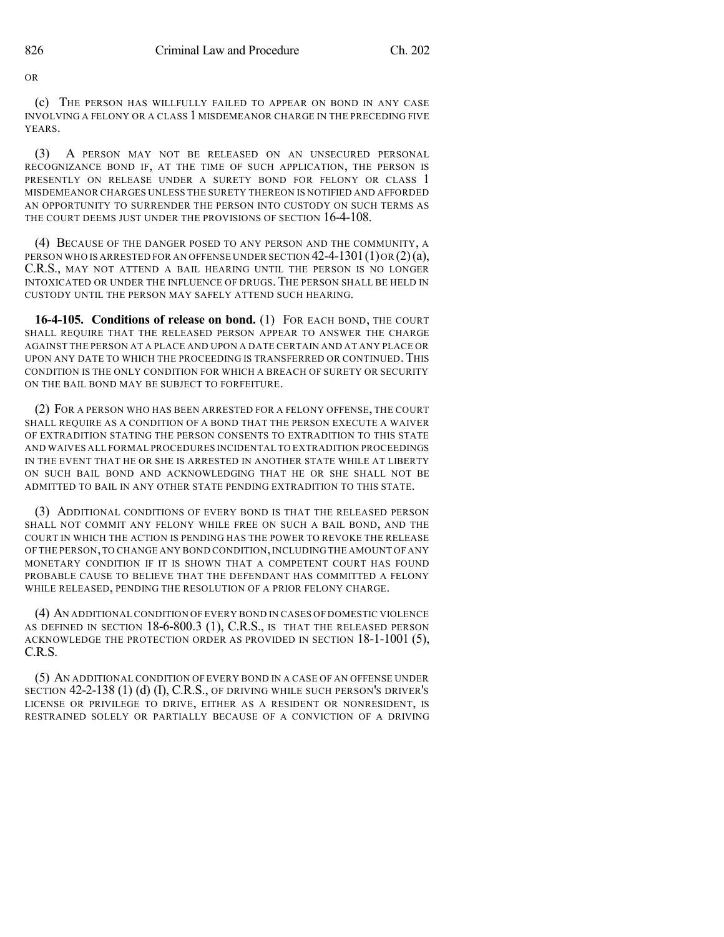OR

(c) THE PERSON HAS WILLFULLY FAILED TO APPEAR ON BOND IN ANY CASE INVOLVING A FELONY OR A CLASS 1 MISDEMEANOR CHARGE IN THE PRECEDING FIVE YEARS.

(3) A PERSON MAY NOT BE RELEASED ON AN UNSECURED PERSONAL RECOGNIZANCE BOND IF, AT THE TIME OF SUCH APPLICATION, THE PERSON IS PRESENTLY ON RELEASE UNDER A SURETY BOND FOR FELONY OR CLASS 1 MISDEMEANOR CHARGES UNLESS THE SURETY THEREON IS NOTIFIED AND AFFORDED AN OPPORTUNITY TO SURRENDER THE PERSON INTO CUSTODY ON SUCH TERMS AS THE COURT DEEMS JUST UNDER THE PROVISIONS OF SECTION 16-4-108.

(4) BECAUSE OF THE DANGER POSED TO ANY PERSON AND THE COMMUNITY, A PERSON WHO IS ARRESTED FOR AN OFFENSE UNDER SECTION  $42-4-1301(1)$  OR  $(2)(a)$ , C.R.S., MAY NOT ATTEND A BAIL HEARING UNTIL THE PERSON IS NO LONGER INTOXICATED OR UNDER THE INFLUENCE OF DRUGS. THE PERSON SHALL BE HELD IN CUSTODY UNTIL THE PERSON MAY SAFELY ATTEND SUCH HEARING.

**16-4-105. Conditions of release on bond.** (1) FOR EACH BOND, THE COURT SHALL REQUIRE THAT THE RELEASED PERSON APPEAR TO ANSWER THE CHARGE AGAINST THE PERSON AT A PLACE AND UPON A DATE CERTAIN AND AT ANY PLACE OR UPON ANY DATE TO WHICH THE PROCEEDING IS TRANSFERRED OR CONTINUED. THIS CONDITION IS THE ONLY CONDITION FOR WHICH A BREACH OF SURETY OR SECURITY ON THE BAIL BOND MAY BE SUBJECT TO FORFEITURE.

(2) FOR A PERSON WHO HAS BEEN ARRESTED FOR A FELONY OFFENSE, THE COURT SHALL REQUIRE AS A CONDITION OF A BOND THAT THE PERSON EXECUTE A WAIVER OF EXTRADITION STATING THE PERSON CONSENTS TO EXTRADITION TO THIS STATE AND WAIVES ALL FORMAL PROCEDURES INCIDENTAL TO EXTRADITION PROCEEDINGS IN THE EVENT THAT HE OR SHE IS ARRESTED IN ANOTHER STATE WHILE AT LIBERTY ON SUCH BAIL BOND AND ACKNOWLEDGING THAT HE OR SHE SHALL NOT BE ADMITTED TO BAIL IN ANY OTHER STATE PENDING EXTRADITION TO THIS STATE.

(3) ADDITIONAL CONDITIONS OF EVERY BOND IS THAT THE RELEASED PERSON SHALL NOT COMMIT ANY FELONY WHILE FREE ON SUCH A BAIL BOND, AND THE COURT IN WHICH THE ACTION IS PENDING HAS THE POWER TO REVOKE THE RELEASE OF THE PERSON,TO CHANGE ANY BOND CONDITION,INCLUDING THE AMOUNT OF ANY MONETARY CONDITION IF IT IS SHOWN THAT A COMPETENT COURT HAS FOUND PROBABLE CAUSE TO BELIEVE THAT THE DEFENDANT HAS COMMITTED A FELONY WHILE RELEASED, PENDING THE RESOLUTION OF A PRIOR FELONY CHARGE.

(4) AN ADDITIONAL CONDITION OF EVERY BOND IN CASES OF DOMESTIC VIOLENCE AS DEFINED IN SECTION 18-6-800.3 (1), C.R.S., IS THAT THE RELEASED PERSON ACKNOWLEDGE THE PROTECTION ORDER AS PROVIDED IN SECTION 18-1-1001 (5), C.R.S.

(5) AN ADDITIONAL CONDITION OF EVERY BOND IN A CASE OF AN OFFENSE UNDER SECTION 42-2-138 (1) (d) (I), C.R.S., OF DRIVING WHILE SUCH PERSON'S DRIVER'S LICENSE OR PRIVILEGE TO DRIVE, EITHER AS A RESIDENT OR NONRESIDENT, IS RESTRAINED SOLELY OR PARTIALLY BECAUSE OF A CONVICTION OF A DRIVING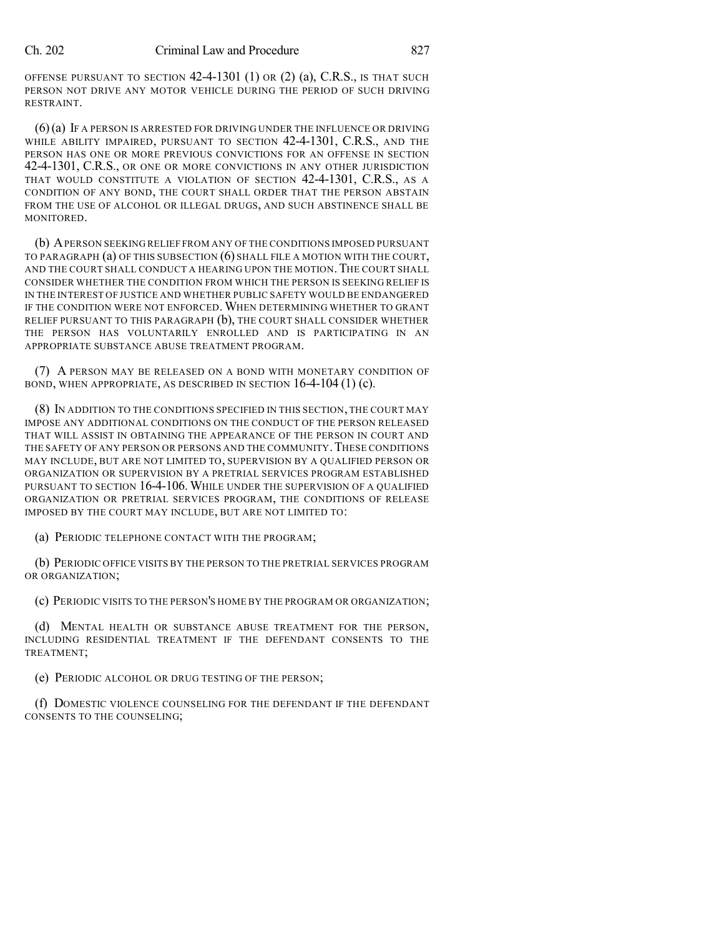OFFENSE PURSUANT TO SECTION 42-4-1301 (1) OR (2) (a), C.R.S., IS THAT SUCH PERSON NOT DRIVE ANY MOTOR VEHICLE DURING THE PERIOD OF SUCH DRIVING RESTRAINT.

(6)(a) IF A PERSON IS ARRESTED FOR DRIVING UNDER THE INFLUENCE OR DRIVING WHILE ABILITY IMPAIRED, PURSUANT TO SECTION 42-4-1301, C.R.S., AND THE PERSON HAS ONE OR MORE PREVIOUS CONVICTIONS FOR AN OFFENSE IN SECTION 42-4-1301, C.R.S., OR ONE OR MORE CONVICTIONS IN ANY OTHER JURISDICTION THAT WOULD CONSTITUTE A VIOLATION OF SECTION 42-4-1301, C.R.S., AS A CONDITION OF ANY BOND, THE COURT SHALL ORDER THAT THE PERSON ABSTAIN FROM THE USE OF ALCOHOL OR ILLEGAL DRUGS, AND SUCH ABSTINENCE SHALL BE MONITORED.

(b) APERSON SEEKING RELIEF FROM ANY OF THE CONDITIONS IMPOSED PURSUANT TO PARAGRAPH (a) OF THIS SUBSECTION (6) SHALL FILE A MOTION WITH THE COURT, AND THE COURT SHALL CONDUCT A HEARING UPON THE MOTION. THE COURT SHALL CONSIDER WHETHER THE CONDITION FROM WHICH THE PERSON IS SEEKING RELIEF IS IN THE INTEREST OF JUSTICE AND WHETHER PUBLIC SAFETY WOULD BE ENDANGERED IF THE CONDITION WERE NOT ENFORCED. WHEN DETERMINING WHETHER TO GRANT RELIEF PURSUANT TO THIS PARAGRAPH (b), THE COURT SHALL CONSIDER WHETHER THE PERSON HAS VOLUNTARILY ENROLLED AND IS PARTICIPATING IN AN APPROPRIATE SUBSTANCE ABUSE TREATMENT PROGRAM.

(7) A PERSON MAY BE RELEASED ON A BOND WITH MONETARY CONDITION OF BOND, WHEN APPROPRIATE, AS DESCRIBED IN SECTION 16-4-104 (1) (c).

(8) IN ADDITION TO THE CONDITIONS SPECIFIED IN THIS SECTION, THE COURT MAY IMPOSE ANY ADDITIONAL CONDITIONS ON THE CONDUCT OF THE PERSON RELEASED THAT WILL ASSIST IN OBTAINING THE APPEARANCE OF THE PERSON IN COURT AND THE SAFETY OF ANY PERSON OR PERSONS AND THE COMMUNITY. THESE CONDITIONS MAY INCLUDE, BUT ARE NOT LIMITED TO, SUPERVISION BY A QUALIFIED PERSON OR ORGANIZATION OR SUPERVISION BY A PRETRIAL SERVICES PROGRAM ESTABLISHED PURSUANT TO SECTION 16-4-106. WHILE UNDER THE SUPERVISION OF A QUALIFIED ORGANIZATION OR PRETRIAL SERVICES PROGRAM, THE CONDITIONS OF RELEASE IMPOSED BY THE COURT MAY INCLUDE, BUT ARE NOT LIMITED TO:

(a) PERIODIC TELEPHONE CONTACT WITH THE PROGRAM;

(b) PERIODIC OFFICE VISITS BY THE PERSON TO THE PRETRIAL SERVICES PROGRAM OR ORGANIZATION;

(c) PERIODIC VISITS TO THE PERSON'S HOME BY THE PROGRAM OR ORGANIZATION;

(d) MENTAL HEALTH OR SUBSTANCE ABUSE TREATMENT FOR THE PERSON, INCLUDING RESIDENTIAL TREATMENT IF THE DEFENDANT CONSENTS TO THE TREATMENT;

(e) PERIODIC ALCOHOL OR DRUG TESTING OF THE PERSON;

(f) DOMESTIC VIOLENCE COUNSELING FOR THE DEFENDANT IF THE DEFENDANT CONSENTS TO THE COUNSELING;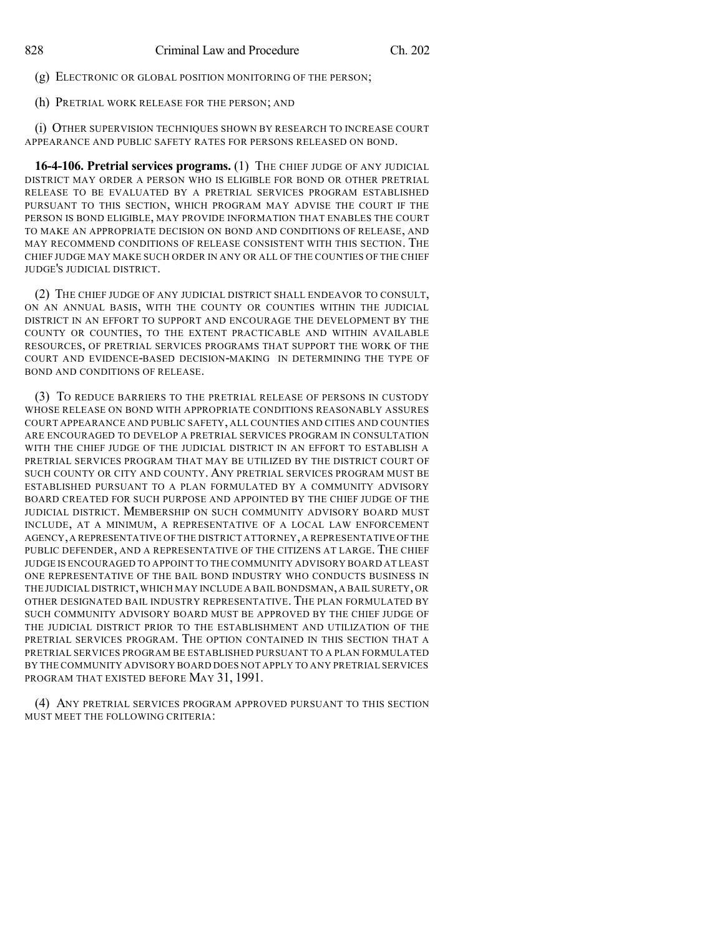(g) ELECTRONIC OR GLOBAL POSITION MONITORING OF THE PERSON;

(h) PRETRIAL WORK RELEASE FOR THE PERSON; AND

(i) OTHER SUPERVISION TECHNIQUES SHOWN BY RESEARCH TO INCREASE COURT APPEARANCE AND PUBLIC SAFETY RATES FOR PERSONS RELEASED ON BOND.

**16-4-106. Pretrial services programs.** (1) THE CHIEF JUDGE OF ANY JUDICIAL DISTRICT MAY ORDER A PERSON WHO IS ELIGIBLE FOR BOND OR OTHER PRETRIAL RELEASE TO BE EVALUATED BY A PRETRIAL SERVICES PROGRAM ESTABLISHED PURSUANT TO THIS SECTION, WHICH PROGRAM MAY ADVISE THE COURT IF THE PERSON IS BOND ELIGIBLE, MAY PROVIDE INFORMATION THAT ENABLES THE COURT TO MAKE AN APPROPRIATE DECISION ON BOND AND CONDITIONS OF RELEASE, AND MAY RECOMMEND CONDITIONS OF RELEASE CONSISTENT WITH THIS SECTION. THE CHIEF JUDGE MAY MAKE SUCH ORDER IN ANY OR ALL OF THE COUNTIES OF THE CHIEF JUDGE'S JUDICIAL DISTRICT.

(2) THE CHIEF JUDGE OF ANY JUDICIAL DISTRICT SHALL ENDEAVOR TO CONSULT, ON AN ANNUAL BASIS, WITH THE COUNTY OR COUNTIES WITHIN THE JUDICIAL DISTRICT IN AN EFFORT TO SUPPORT AND ENCOURAGE THE DEVELOPMENT BY THE COUNTY OR COUNTIES, TO THE EXTENT PRACTICABLE AND WITHIN AVAILABLE RESOURCES, OF PRETRIAL SERVICES PROGRAMS THAT SUPPORT THE WORK OF THE COURT AND EVIDENCE-BASED DECISION-MAKING IN DETERMINING THE TYPE OF BOND AND CONDITIONS OF RELEASE.

(3) TO REDUCE BARRIERS TO THE PRETRIAL RELEASE OF PERSONS IN CUSTODY WHOSE RELEASE ON BOND WITH APPROPRIATE CONDITIONS REASONABLY ASSURES COURT APPEARANCE AND PUBLIC SAFETY, ALL COUNTIES AND CITIES AND COUNTIES ARE ENCOURAGED TO DEVELOP A PRETRIAL SERVICES PROGRAM IN CONSULTATION WITH THE CHIEF JUDGE OF THE JUDICIAL DISTRICT IN AN EFFORT TO ESTABLISH A PRETRIAL SERVICES PROGRAM THAT MAY BE UTILIZED BY THE DISTRICT COURT OF SUCH COUNTY OR CITY AND COUNTY. ANY PRETRIAL SERVICES PROGRAM MUST BE ESTABLISHED PURSUANT TO A PLAN FORMULATED BY A COMMUNITY ADVISORY BOARD CREATED FOR SUCH PURPOSE AND APPOINTED BY THE CHIEF JUDGE OF THE JUDICIAL DISTRICT. MEMBERSHIP ON SUCH COMMUNITY ADVISORY BOARD MUST INCLUDE, AT A MINIMUM, A REPRESENTATIVE OF A LOCAL LAW ENFORCEMENT AGENCY,A REPRESENTATIVE OF THE DISTRICT ATTORNEY,A REPRESENTATIVE OFTHE PUBLIC DEFENDER, AND A REPRESENTATIVE OF THE CITIZENS AT LARGE. THE CHIEF JUDGE IS ENCOURAGED TO APPOINT TO THE COMMUNITY ADVISORY BOARD AT LEAST ONE REPRESENTATIVE OF THE BAIL BOND INDUSTRY WHO CONDUCTS BUSINESS IN THE JUDICIAL DISTRICT,WHICH MAY INCLUDE A BAIL BONDSMAN,A BAIL SURETY, OR OTHER DESIGNATED BAIL INDUSTRY REPRESENTATIVE. THE PLAN FORMULATED BY SUCH COMMUNITY ADVISORY BOARD MUST BE APPROVED BY THE CHIEF JUDGE OF THE JUDICIAL DISTRICT PRIOR TO THE ESTABLISHMENT AND UTILIZATION OF THE PRETRIAL SERVICES PROGRAM. THE OPTION CONTAINED IN THIS SECTION THAT A PRETRIAL SERVICES PROGRAM BE ESTABLISHED PURSUANT TO A PLAN FORMULATED BY THE COMMUNITY ADVISORY BOARD DOES NOT APPLY TO ANY PRETRIAL SERVICES PROGRAM THAT EXISTED BEFORE MAY 31, 1991.

(4) ANY PRETRIAL SERVICES PROGRAM APPROVED PURSUANT TO THIS SECTION MUST MEET THE FOLLOWING CRITERIA: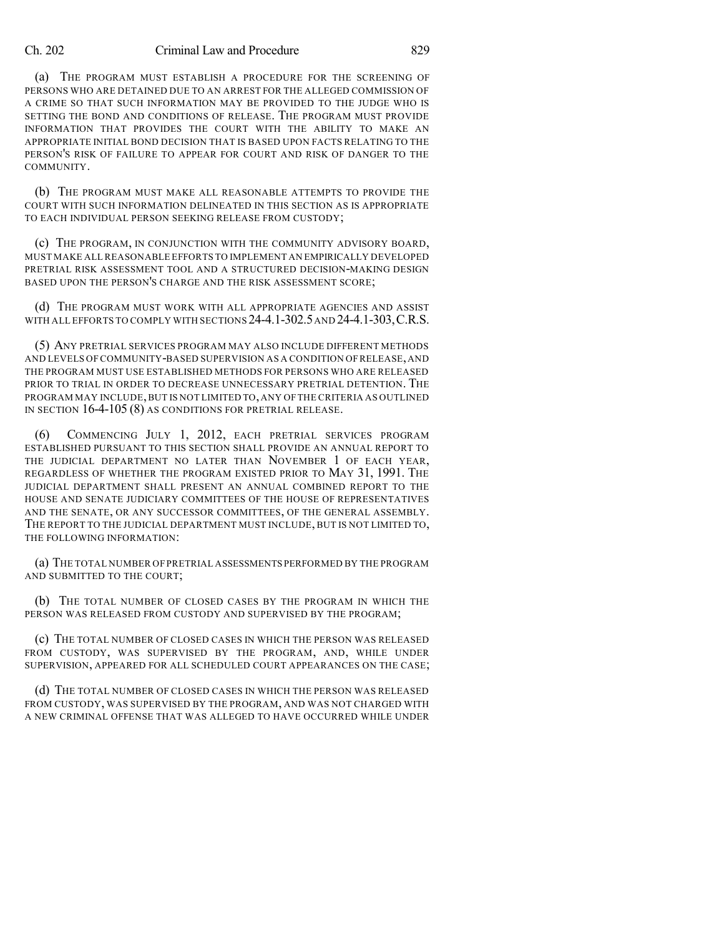#### Ch. 202 Criminal Law and Procedure 829

(a) THE PROGRAM MUST ESTABLISH A PROCEDURE FOR THE SCREENING OF PERSONS WHO ARE DETAINED DUE TO AN ARREST FOR THE ALLEGED COMMISSION OF A CRIME SO THAT SUCH INFORMATION MAY BE PROVIDED TO THE JUDGE WHO IS SETTING THE BOND AND CONDITIONS OF RELEASE. THE PROGRAM MUST PROVIDE INFORMATION THAT PROVIDES THE COURT WITH THE ABILITY TO MAKE AN APPROPRIATE INITIAL BOND DECISION THAT IS BASED UPON FACTS RELATING TO THE PERSON'S RISK OF FAILURE TO APPEAR FOR COURT AND RISK OF DANGER TO THE **COMMUNITY** 

(b) THE PROGRAM MUST MAKE ALL REASONABLE ATTEMPTS TO PROVIDE THE COURT WITH SUCH INFORMATION DELINEATED IN THIS SECTION AS IS APPROPRIATE TO EACH INDIVIDUAL PERSON SEEKING RELEASE FROM CUSTODY;

(c) THE PROGRAM, IN CONJUNCTION WITH THE COMMUNITY ADVISORY BOARD, MUST MAKE ALL REASONABLE EFFORTS TO IMPLEMENT AN EMPIRICALLY DEVELOPED PRETRIAL RISK ASSESSMENT TOOL AND A STRUCTURED DECISION-MAKING DESIGN BASED UPON THE PERSON'S CHARGE AND THE RISK ASSESSMENT SCORE;

(d) THE PROGRAM MUST WORK WITH ALL APPROPRIATE AGENCIES AND ASSIST WITH ALL EFFORTS TO COMPLY WITH SECTIONS 24-4.1-302.5 AND 24-4.1-303, C.R.S.

(5) ANY PRETRIAL SERVICES PROGRAM MAY ALSO INCLUDE DIFFERENT METHODS AND LEVELS OF COMMUNITY-BASED SUPERVISION AS A CONDITION OF RELEASE,AND THE PROGRAM MUST USE ESTABLISHED METHODS FOR PERSONS WHO ARE RELEASED PRIOR TO TRIAL IN ORDER TO DECREASE UNNECESSARY PRETRIAL DETENTION. THE PROGRAM MAY INCLUDE,BUT IS NOT LIMITED TO,ANY OF THE CRITERIA AS OUTLINED IN SECTION 16-4-105 (8) AS CONDITIONS FOR PRETRIAL RELEASE.

(6) COMMENCING JULY 1, 2012, EACH PRETRIAL SERVICES PROGRAM ESTABLISHED PURSUANT TO THIS SECTION SHALL PROVIDE AN ANNUAL REPORT TO THE JUDICIAL DEPARTMENT NO LATER THAN NOVEMBER 1 OF EACH YEAR, REGARDLESS OF WHETHER THE PROGRAM EXISTED PRIOR TO MAY 31, 1991. THE JUDICIAL DEPARTMENT SHALL PRESENT AN ANNUAL COMBINED REPORT TO THE HOUSE AND SENATE JUDICIARY COMMITTEES OF THE HOUSE OF REPRESENTATIVES AND THE SENATE, OR ANY SUCCESSOR COMMITTEES, OF THE GENERAL ASSEMBLY. THE REPORT TO THE JUDICIAL DEPARTMENT MUST INCLUDE, BUT IS NOT LIMITED TO, THE FOLLOWING INFORMATION:

(a) THE TOTAL NUMBER OF PRETRIAL ASSESSMENTS PERFORMED BY THE PROGRAM AND SUBMITTED TO THE COURT;

(b) THE TOTAL NUMBER OF CLOSED CASES BY THE PROGRAM IN WHICH THE PERSON WAS RELEASED FROM CUSTODY AND SUPERVISED BY THE PROGRAM;

(c) THE TOTAL NUMBER OF CLOSED CASES IN WHICH THE PERSON WAS RELEASED FROM CUSTODY, WAS SUPERVISED BY THE PROGRAM, AND, WHILE UNDER SUPERVISION, APPEARED FOR ALL SCHEDULED COURT APPEARANCES ON THE CASE;

(d) THE TOTAL NUMBER OF CLOSED CASES IN WHICH THE PERSON WAS RELEASED FROM CUSTODY, WAS SUPERVISED BY THE PROGRAM, AND WAS NOT CHARGED WITH A NEW CRIMINAL OFFENSE THAT WAS ALLEGED TO HAVE OCCURRED WHILE UNDER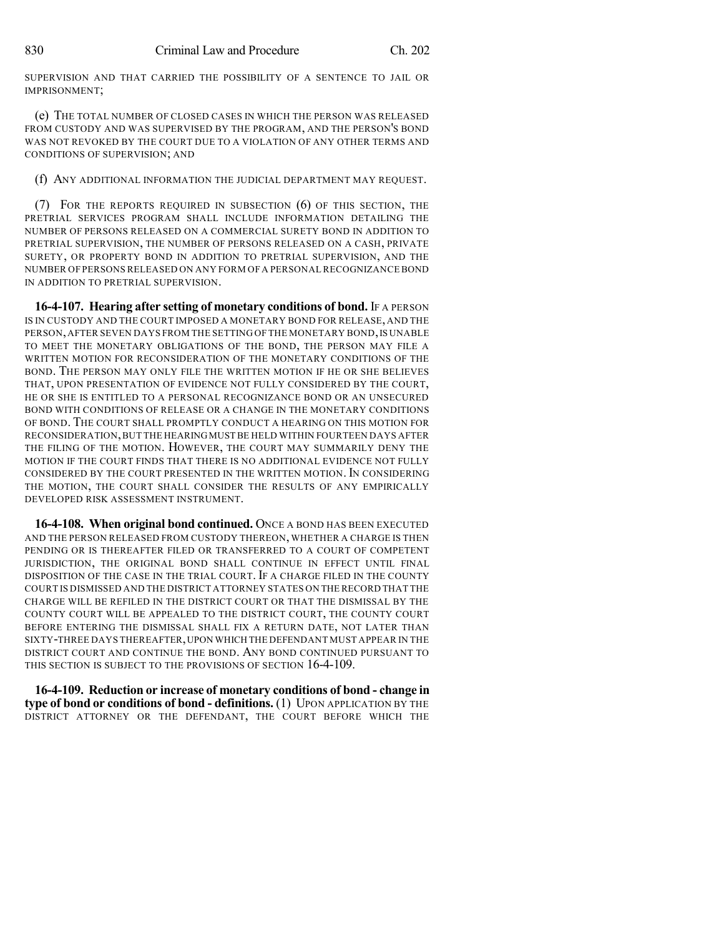SUPERVISION AND THAT CARRIED THE POSSIBILITY OF A SENTENCE TO JAIL OR IMPRISONMENT;

(e) THE TOTAL NUMBER OF CLOSED CASES IN WHICH THE PERSON WAS RELEASED FROM CUSTODY AND WAS SUPERVISED BY THE PROGRAM, AND THE PERSON'S BOND WAS NOT REVOKED BY THE COURT DUE TO A VIOLATION OF ANY OTHER TERMS AND CONDITIONS OF SUPERVISION; AND

(f) ANY ADDITIONAL INFORMATION THE JUDICIAL DEPARTMENT MAY REQUEST.

(7) FOR THE REPORTS REQUIRED IN SUBSECTION (6) OF THIS SECTION, THE PRETRIAL SERVICES PROGRAM SHALL INCLUDE INFORMATION DETAILING THE NUMBER OF PERSONS RELEASED ON A COMMERCIAL SURETY BOND IN ADDITION TO PRETRIAL SUPERVISION, THE NUMBER OF PERSONS RELEASED ON A CASH, PRIVATE SURETY, OR PROPERTY BOND IN ADDITION TO PRETRIAL SUPERVISION, AND THE NUMBER OF PERSONS RELEASED ON ANY FORM OF A PERSONAL RECOGNIZANCE BOND IN ADDITION TO PRETRIAL SUPERVISION.

**16-4-107. Hearing after setting of monetary conditions of bond.** IF A PERSON IS IN CUSTODY AND THE COURT IMPOSED A MONETARY BOND FOR RELEASE, AND THE PERSON, AFTER SEVEN DAYS FROM THE SETTING OF THE MONETARY BOND, IS UNABLE TO MEET THE MONETARY OBLIGATIONS OF THE BOND, THE PERSON MAY FILE A WRITTEN MOTION FOR RECONSIDERATION OF THE MONETARY CONDITIONS OF THE BOND. THE PERSON MAY ONLY FILE THE WRITTEN MOTION IF HE OR SHE BELIEVES THAT, UPON PRESENTATION OF EVIDENCE NOT FULLY CONSIDERED BY THE COURT, HE OR SHE IS ENTITLED TO A PERSONAL RECOGNIZANCE BOND OR AN UNSECURED BOND WITH CONDITIONS OF RELEASE OR A CHANGE IN THE MONETARY CONDITIONS OF BOND. THE COURT SHALL PROMPTLY CONDUCT A HEARING ON THIS MOTION FOR RECONSIDERATION,BUT THE HEARINGMUST BE HELD WITHIN FOURTEEN DAYS AFTER THE FILING OF THE MOTION. HOWEVER, THE COURT MAY SUMMARILY DENY THE MOTION IF THE COURT FINDS THAT THERE IS NO ADDITIONAL EVIDENCE NOT FULLY CONSIDERED BY THE COURT PRESENTED IN THE WRITTEN MOTION. IN CONSIDERING THE MOTION, THE COURT SHALL CONSIDER THE RESULTS OF ANY EMPIRICALLY DEVELOPED RISK ASSESSMENT INSTRUMENT.

**16-4-108. When original bond continued.** ONCE A BOND HAS BEEN EXECUTED AND THE PERSON RELEASED FROM CUSTODY THEREON, WHETHER A CHARGE IS THEN PENDING OR IS THEREAFTER FILED OR TRANSFERRED TO A COURT OF COMPETENT JURISDICTION, THE ORIGINAL BOND SHALL CONTINUE IN EFFECT UNTIL FINAL DISPOSITION OF THE CASE IN THE TRIAL COURT. IF A CHARGE FILED IN THE COUNTY COURT IS DISMISSED AND THE DISTRICT ATTORNEY STATES ON THE RECORD THAT THE CHARGE WILL BE REFILED IN THE DISTRICT COURT OR THAT THE DISMISSAL BY THE COUNTY COURT WILL BE APPEALED TO THE DISTRICT COURT, THE COUNTY COURT BEFORE ENTERING THE DISMISSAL SHALL FIX A RETURN DATE, NOT LATER THAN SIXTY-THREE DAYS THEREAFTER,UPON WHICH THE DEFENDANT MUST APPEAR IN THE DISTRICT COURT AND CONTINUE THE BOND. ANY BOND CONTINUED PURSUANT TO THIS SECTION IS SUBJECT TO THE PROVISIONS OF SECTION 16-4-109.

**16-4-109. Reduction or increase of monetary conditions of bond - change in type of bond or conditions of bond - definitions.** (1) UPON APPLICATION BY THE DISTRICT ATTORNEY OR THE DEFENDANT, THE COURT BEFORE WHICH THE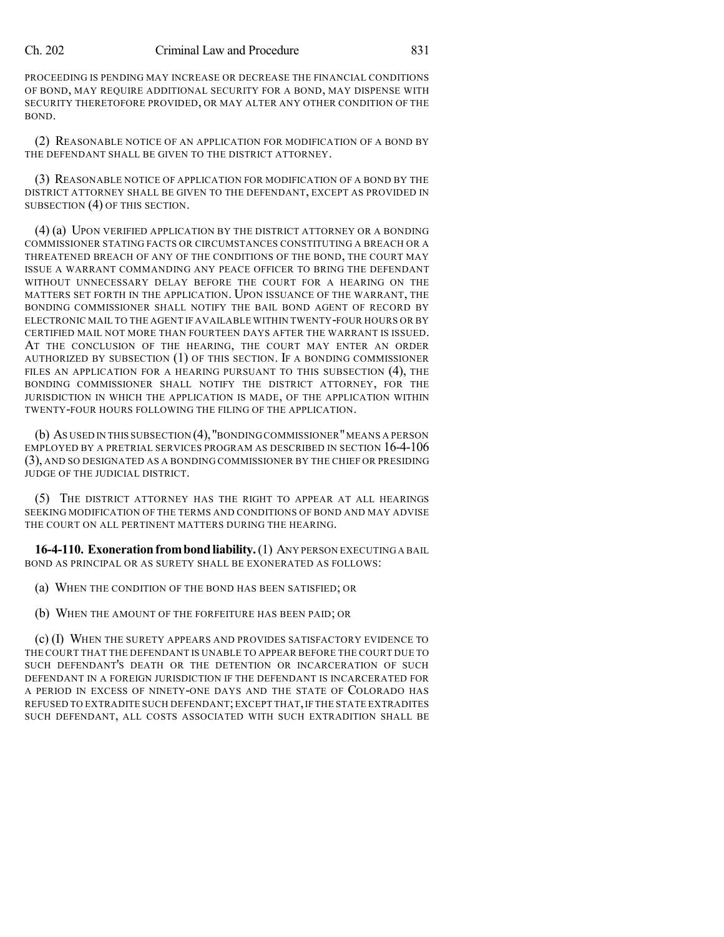PROCEEDING IS PENDING MAY INCREASE OR DECREASE THE FINANCIAL CONDITIONS OF BOND, MAY REQUIRE ADDITIONAL SECURITY FOR A BOND, MAY DISPENSE WITH SECURITY THERETOFORE PROVIDED, OR MAY ALTER ANY OTHER CONDITION OF THE BOND.

(2) REASONABLE NOTICE OF AN APPLICATION FOR MODIFICATION OF A BOND BY THE DEFENDANT SHALL BE GIVEN TO THE DISTRICT ATTORNEY.

(3) REASONABLE NOTICE OF APPLICATION FOR MODIFICATION OF A BOND BY THE DISTRICT ATTORNEY SHALL BE GIVEN TO THE DEFENDANT, EXCEPT AS PROVIDED IN SUBSECTION (4) OF THIS SECTION.

(4) (a) UPON VERIFIED APPLICATION BY THE DISTRICT ATTORNEY OR A BONDING COMMISSIONER STATING FACTS OR CIRCUMSTANCES CONSTITUTING A BREACH OR A THREATENED BREACH OF ANY OF THE CONDITIONS OF THE BOND, THE COURT MAY ISSUE A WARRANT COMMANDING ANY PEACE OFFICER TO BRING THE DEFENDANT WITHOUT UNNECESSARY DELAY BEFORE THE COURT FOR A HEARING ON THE MATTERS SET FORTH IN THE APPLICATION. UPON ISSUANCE OF THE WARRANT, THE BONDING COMMISSIONER SHALL NOTIFY THE BAIL BOND AGENT OF RECORD BY ELECTRONIC MAIL TO THE AGENT IF AVAILABLE WITHIN TWENTY-FOUR HOURS OR BY CERTIFIED MAIL NOT MORE THAN FOURTEEN DAYS AFTER THE WARRANT IS ISSUED. AT THE CONCLUSION OF THE HEARING, THE COURT MAY ENTER AN ORDER AUTHORIZED BY SUBSECTION (1) OF THIS SECTION. IF A BONDING COMMISSIONER FILES AN APPLICATION FOR A HEARING PURSUANT TO THIS SUBSECTION (4), THE BONDING COMMISSIONER SHALL NOTIFY THE DISTRICT ATTORNEY, FOR THE JURISDICTION IN WHICH THE APPLICATION IS MADE, OF THE APPLICATION WITHIN TWENTY-FOUR HOURS FOLLOWING THE FILING OF THE APPLICATION.

(b) AS USED IN THIS SUBSECTION (4),"BONDING COMMISSIONER"MEANS A PERSON EMPLOYED BY A PRETRIAL SERVICES PROGRAM AS DESCRIBED IN SECTION 16-4-106 (3), AND SO DESIGNATED AS A BONDING COMMISSIONER BY THE CHIEF OR PRESIDING JUDGE OF THE JUDICIAL DISTRICT.

(5) THE DISTRICT ATTORNEY HAS THE RIGHT TO APPEAR AT ALL HEARINGS SEEKING MODIFICATION OF THE TERMS AND CONDITIONS OF BOND AND MAY ADVISE THE COURT ON ALL PERTINENT MATTERS DURING THE HEARING.

**16-4-110. Exoneration from bond liability.** (1) ANY PERSON EXECUTING A BAIL BOND AS PRINCIPAL OR AS SURETY SHALL BE EXONERATED AS FOLLOWS:

(a) WHEN THE CONDITION OF THE BOND HAS BEEN SATISFIED; OR

(b) WHEN THE AMOUNT OF THE FORFEITURE HAS BEEN PAID; OR

(c) (I) WHEN THE SURETY APPEARS AND PROVIDES SATISFACTORY EVIDENCE TO THE COURT THAT THE DEFENDANT IS UNABLE TO APPEAR BEFORE THE COURT DUE TO SUCH DEFENDANT'S DEATH OR THE DETENTION OR INCARCERATION OF SUCH DEFENDANT IN A FOREIGN JURISDICTION IF THE DEFENDANT IS INCARCERATED FOR A PERIOD IN EXCESS OF NINETY-ONE DAYS AND THE STATE OF COLORADO HAS REFUSED TO EXTRADITE SUCH DEFENDANT; EXCEPT THAT, IF THE STATE EXTRADITES SUCH DEFENDANT, ALL COSTS ASSOCIATED WITH SUCH EXTRADITION SHALL BE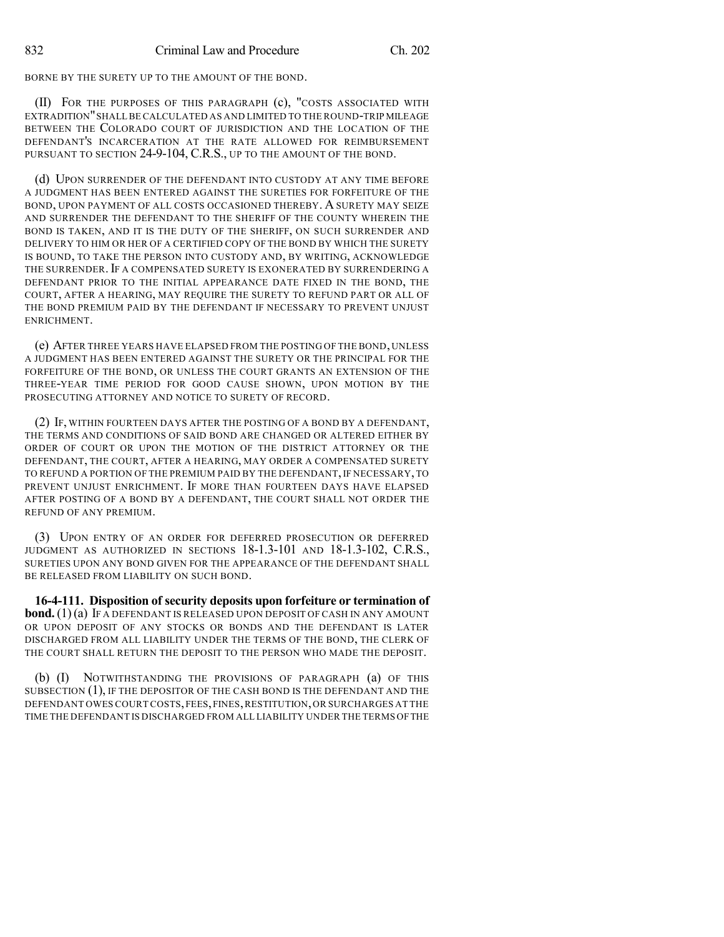BORNE BY THE SURETY UP TO THE AMOUNT OF THE BOND.

(II) FOR THE PURPOSES OF THIS PARAGRAPH (c), "COSTS ASSOCIATED WITH EXTRADITION"SHALL BE CALCULATED AS AND LIMITED TO THE ROUND-TRIP MILEAGE BETWEEN THE COLORADO COURT OF JURISDICTION AND THE LOCATION OF THE DEFENDANT'S INCARCERATION AT THE RATE ALLOWED FOR REIMBURSEMENT PURSUANT TO SECTION 24-9-104, C.R.S., UP TO THE AMOUNT OF THE BOND.

(d) UPON SURRENDER OF THE DEFENDANT INTO CUSTODY AT ANY TIME BEFORE A JUDGMENT HAS BEEN ENTERED AGAINST THE SURETIES FOR FORFEITURE OF THE BOND, UPON PAYMENT OF ALL COSTS OCCASIONED THEREBY. A SURETY MAY SEIZE AND SURRENDER THE DEFENDANT TO THE SHERIFF OF THE COUNTY WHEREIN THE BOND IS TAKEN, AND IT IS THE DUTY OF THE SHERIFF, ON SUCH SURRENDER AND DELIVERY TO HIM OR HER OF A CERTIFIED COPY OF THE BOND BY WHICH THE SURETY IS BOUND, TO TAKE THE PERSON INTO CUSTODY AND, BY WRITING, ACKNOWLEDGE THE SURRENDER. IF A COMPENSATED SURETY IS EXONERATED BY SURRENDERING A DEFENDANT PRIOR TO THE INITIAL APPEARANCE DATE FIXED IN THE BOND, THE COURT, AFTER A HEARING, MAY REQUIRE THE SURETY TO REFUND PART OR ALL OF THE BOND PREMIUM PAID BY THE DEFENDANT IF NECESSARY TO PREVENT UNJUST ENRICHMENT.

(e) AFTER THREE YEARS HAVE ELAPSED FROM THE POSTING OF THE BOND, UNLESS A JUDGMENT HAS BEEN ENTERED AGAINST THE SURETY OR THE PRINCIPAL FOR THE FORFEITURE OF THE BOND, OR UNLESS THE COURT GRANTS AN EXTENSION OF THE THREE-YEAR TIME PERIOD FOR GOOD CAUSE SHOWN, UPON MOTION BY THE PROSECUTING ATTORNEY AND NOTICE TO SURETY OF RECORD.

(2) IF, WITHIN FOURTEEN DAYS AFTER THE POSTING OF A BOND BY A DEFENDANT, THE TERMS AND CONDITIONS OF SAID BOND ARE CHANGED OR ALTERED EITHER BY ORDER OF COURT OR UPON THE MOTION OF THE DISTRICT ATTORNEY OR THE DEFENDANT, THE COURT, AFTER A HEARING, MAY ORDER A COMPENSATED SURETY TO REFUND A PORTION OF THE PREMIUM PAID BY THE DEFENDANT, IF NECESSARY, TO PREVENT UNJUST ENRICHMENT. IF MORE THAN FOURTEEN DAYS HAVE ELAPSED AFTER POSTING OF A BOND BY A DEFENDANT, THE COURT SHALL NOT ORDER THE REFUND OF ANY PREMIUM.

(3) UPON ENTRY OF AN ORDER FOR DEFERRED PROSECUTION OR DEFERRED JUDGMENT AS AUTHORIZED IN SECTIONS 18-1.3-101 AND 18-1.3-102, C.R.S., SURETIES UPON ANY BOND GIVEN FOR THE APPEARANCE OF THE DEFENDANT SHALL BE RELEASED FROM LIABILITY ON SUCH BOND.

**16-4-111. Disposition of security deposits upon forfeiture or termination of bond.** (1)(a) IF A DEFENDANT IS RELEASED UPON DEPOSIT OF CASH IN ANY AMOUNT OR UPON DEPOSIT OF ANY STOCKS OR BONDS AND THE DEFENDANT IS LATER DISCHARGED FROM ALL LIABILITY UNDER THE TERMS OF THE BOND, THE CLERK OF THE COURT SHALL RETURN THE DEPOSIT TO THE PERSON WHO MADE THE DEPOSIT.

(b) (I) NOTWITHSTANDING THE PROVISIONS OF PARAGRAPH (a) OF THIS SUBSECTION (1), IF THE DEPOSITOR OF THE CASH BOND IS THE DEFENDANT AND THE DEFENDANT OWES COURT COSTS,FEES,FINES,RESTITUTION,OR SURCHARGES AT THE TIME THE DEFENDANT IS DISCHARGED FROM ALL LIABILITY UNDER THE TERMS OFTHE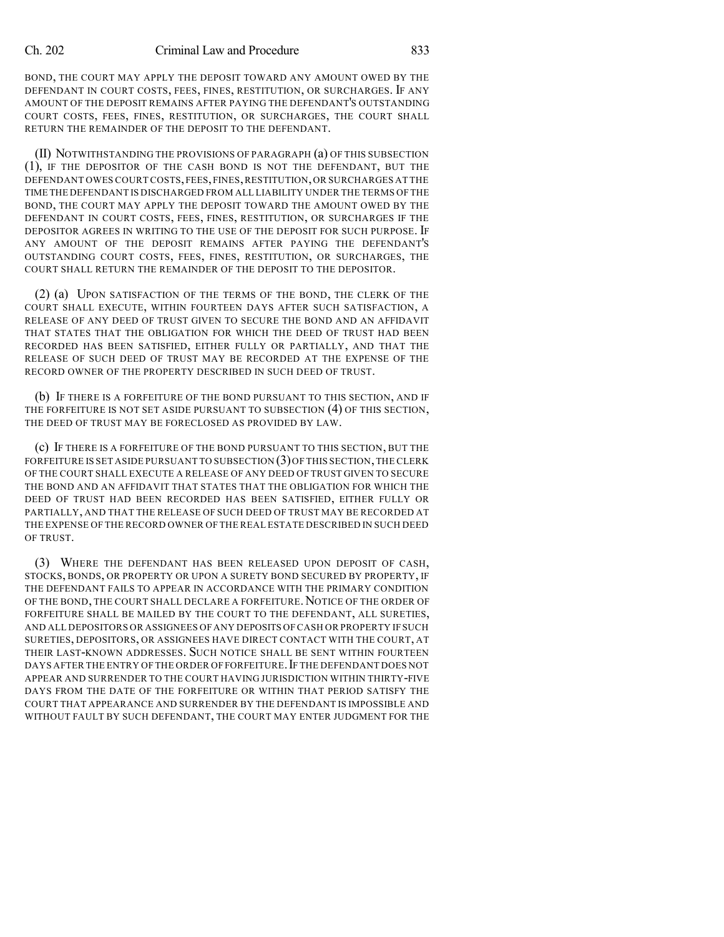BOND, THE COURT MAY APPLY THE DEPOSIT TOWARD ANY AMOUNT OWED BY THE DEFENDANT IN COURT COSTS, FEES, FINES, RESTITUTION, OR SURCHARGES. IF ANY AMOUNT OF THE DEPOSIT REMAINS AFTER PAYING THE DEFENDANT'S OUTSTANDING COURT COSTS, FEES, FINES, RESTITUTION, OR SURCHARGES, THE COURT SHALL RETURN THE REMAINDER OF THE DEPOSIT TO THE DEFENDANT.

(II) NOTWITHSTANDING THE PROVISIONS OF PARAGRAPH (a) OF THIS SUBSECTION (1), IF THE DEPOSITOR OF THE CASH BOND IS NOT THE DEFENDANT, BUT THE DEFENDANT OWES COURT COSTS,FEES,FINES,RESTITUTION,OR SURCHARGES AT THE TIME THE DEFENDANT IS DISCHARGED FROM ALL LIABILITY UNDER THE TERMS OF THE BOND, THE COURT MAY APPLY THE DEPOSIT TOWARD THE AMOUNT OWED BY THE DEFENDANT IN COURT COSTS, FEES, FINES, RESTITUTION, OR SURCHARGES IF THE DEPOSITOR AGREES IN WRITING TO THE USE OF THE DEPOSIT FOR SUCH PURPOSE. IF ANY AMOUNT OF THE DEPOSIT REMAINS AFTER PAYING THE DEFENDANT'S OUTSTANDING COURT COSTS, FEES, FINES, RESTITUTION, OR SURCHARGES, THE COURT SHALL RETURN THE REMAINDER OF THE DEPOSIT TO THE DEPOSITOR.

(2) (a) UPON SATISFACTION OF THE TERMS OF THE BOND, THE CLERK OF THE COURT SHALL EXECUTE, WITHIN FOURTEEN DAYS AFTER SUCH SATISFACTION, A RELEASE OF ANY DEED OF TRUST GIVEN TO SECURE THE BOND AND AN AFFIDAVIT THAT STATES THAT THE OBLIGATION FOR WHICH THE DEED OF TRUST HAD BEEN RECORDED HAS BEEN SATISFIED, EITHER FULLY OR PARTIALLY, AND THAT THE RELEASE OF SUCH DEED OF TRUST MAY BE RECORDED AT THE EXPENSE OF THE RECORD OWNER OF THE PROPERTY DESCRIBED IN SUCH DEED OF TRUST.

(b) IF THERE IS A FORFEITURE OF THE BOND PURSUANT TO THIS SECTION, AND IF THE FORFEITURE IS NOT SET ASIDE PURSUANT TO SUBSECTION (4) OF THIS SECTION, THE DEED OF TRUST MAY BE FORECLOSED AS PROVIDED BY LAW.

(c) IF THERE IS A FORFEITURE OF THE BOND PURSUANT TO THIS SECTION, BUT THE FORFEITURE IS SET ASIDE PURSUANT TO SUBSECTION (3) OF THIS SECTION, THE CLERK OF THE COURT SHALL EXECUTE A RELEASE OF ANY DEED OF TRUST GIVEN TO SECURE THE BOND AND AN AFFIDAVIT THAT STATES THAT THE OBLIGATION FOR WHICH THE DEED OF TRUST HAD BEEN RECORDED HAS BEEN SATISFIED, EITHER FULLY OR PARTIALLY, AND THAT THE RELEASE OF SUCH DEED OF TRUST MAY BE RECORDED AT THE EXPENSE OF THE RECORD OWNER OF THE REAL ESTATE DESCRIBED IN SUCH DEED OF TRUST.

(3) WHERE THE DEFENDANT HAS BEEN RELEASED UPON DEPOSIT OF CASH, STOCKS, BONDS, OR PROPERTY OR UPON A SURETY BOND SECURED BY PROPERTY, IF THE DEFENDANT FAILS TO APPEAR IN ACCORDANCE WITH THE PRIMARY CONDITION OF THE BOND, THE COURT SHALL DECLARE A FORFEITURE.NOTICE OF THE ORDER OF FORFEITURE SHALL BE MAILED BY THE COURT TO THE DEFENDANT, ALL SURETIES, AND ALL DEPOSITORS OR ASSIGNEES OF ANY DEPOSITS OF CASH OR PROPERTY IF SUCH SURETIES, DEPOSITORS, OR ASSIGNEES HAVE DIRECT CONTACT WITH THE COURT, AT THEIR LAST-KNOWN ADDRESSES. SUCH NOTICE SHALL BE SENT WITHIN FOURTEEN DAYS AFTER THE ENTRY OF THE ORDER OF FORFEITURE. IF THE DEFENDANT DOES NOT APPEAR AND SURRENDER TO THE COURT HAVING JURISDICTION WITHIN THIRTY-FIVE DAYS FROM THE DATE OF THE FORFEITURE OR WITHIN THAT PERIOD SATISFY THE COURT THAT APPEARANCE AND SURRENDER BY THE DEFENDANT IS IMPOSSIBLE AND WITHOUT FAULT BY SUCH DEFENDANT, THE COURT MAY ENTER JUDGMENT FOR THE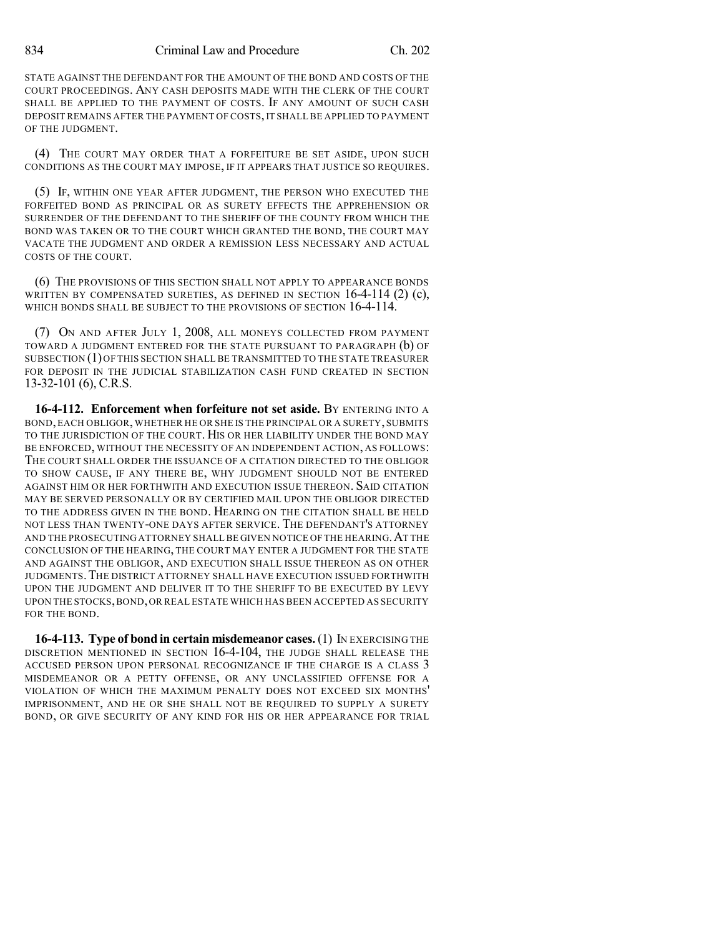834 Criminal Law and Procedure Ch. 202

STATE AGAINST THE DEFENDANT FOR THE AMOUNT OF THE BOND AND COSTS OF THE COURT PROCEEDINGS. ANY CASH DEPOSITS MADE WITH THE CLERK OF THE COURT SHALL BE APPLIED TO THE PAYMENT OF COSTS. IF ANY AMOUNT OF SUCH CASH DEPOSIT REMAINS AFTER THE PAYMENT OF COSTS, IT SHALL BE APPLIED TO PAYMENT OF THE JUDGMENT.

(4) THE COURT MAY ORDER THAT A FORFEITURE BE SET ASIDE, UPON SUCH CONDITIONS AS THE COURT MAY IMPOSE, IF IT APPEARS THAT JUSTICE SO REQUIRES.

(5) IF, WITHIN ONE YEAR AFTER JUDGMENT, THE PERSON WHO EXECUTED THE FORFEITED BOND AS PRINCIPAL OR AS SURETY EFFECTS THE APPREHENSION OR SURRENDER OF THE DEFENDANT TO THE SHERIFF OF THE COUNTY FROM WHICH THE BOND WAS TAKEN OR TO THE COURT WHICH GRANTED THE BOND, THE COURT MAY VACATE THE JUDGMENT AND ORDER A REMISSION LESS NECESSARY AND ACTUAL COSTS OF THE COURT.

(6) THE PROVISIONS OF THIS SECTION SHALL NOT APPLY TO APPEARANCE BONDS WRITTEN BY COMPENSATED SURETIES, AS DEFINED IN SECTION  $16-4-114$  (2) (c), WHICH BONDS SHALL BE SUBJECT TO THE PROVISIONS OF SECTION 16-4-114.

(7) ON AND AFTER JULY 1, 2008, ALL MONEYS COLLECTED FROM PAYMENT TOWARD A JUDGMENT ENTERED FOR THE STATE PURSUANT TO PARAGRAPH (b) OF SUBSECTION (1)OF THIS SECTION SHALL BE TRANSMITTED TO THE STATE TREASURER FOR DEPOSIT IN THE JUDICIAL STABILIZATION CASH FUND CREATED IN SECTION 13-32-101 (6), C.R.S.

**16-4-112. Enforcement when forfeiture not set aside.** BY ENTERING INTO A BOND,EACH OBLIGOR, WHETHER HE OR SHE IS THE PRINCIPAL OR A SURETY, SUBMITS TO THE JURISDICTION OF THE COURT. HIS OR HER LIABILITY UNDER THE BOND MAY BE ENFORCED, WITHOUT THE NECESSITY OF AN INDEPENDENT ACTION, AS FOLLOWS: THE COURT SHALL ORDER THE ISSUANCE OF A CITATION DIRECTED TO THE OBLIGOR TO SHOW CAUSE, IF ANY THERE BE, WHY JUDGMENT SHOULD NOT BE ENTERED AGAINST HIM OR HER FORTHWITH AND EXECUTION ISSUE THEREON. SAID CITATION MAY BE SERVED PERSONALLY OR BY CERTIFIED MAIL UPON THE OBLIGOR DIRECTED TO THE ADDRESS GIVEN IN THE BOND. HEARING ON THE CITATION SHALL BE HELD NOT LESS THAN TWENTY-ONE DAYS AFTER SERVICE. THE DEFENDANT'S ATTORNEY AND THE PROSECUTING ATTORNEY SHALL BE GIVEN NOTICE OF THE HEARING.AT THE CONCLUSION OF THE HEARING, THE COURT MAY ENTER A JUDGMENT FOR THE STATE AND AGAINST THE OBLIGOR, AND EXECUTION SHALL ISSUE THEREON AS ON OTHER JUDGMENTS.THE DISTRICT ATTORNEY SHALL HAVE EXECUTION ISSUED FORTHWITH UPON THE JUDGMENT AND DELIVER IT TO THE SHERIFF TO BE EXECUTED BY LEVY UPON THE STOCKS,BOND,OR REAL ESTATE WHICH HAS BEEN ACCEPTED AS SECURITY FOR THE BOND.

**16-4-113. Type of bond in certain misdemeanor cases.**(1) IN EXERCISING THE DISCRETION MENTIONED IN SECTION 16-4-104, THE JUDGE SHALL RELEASE THE ACCUSED PERSON UPON PERSONAL RECOGNIZANCE IF THE CHARGE IS A CLASS 3 MISDEMEANOR OR A PETTY OFFENSE, OR ANY UNCLASSIFIED OFFENSE FOR A VIOLATION OF WHICH THE MAXIMUM PENALTY DOES NOT EXCEED SIX MONTHS' IMPRISONMENT, AND HE OR SHE SHALL NOT BE REQUIRED TO SUPPLY A SURETY BOND, OR GIVE SECURITY OF ANY KIND FOR HIS OR HER APPEARANCE FOR TRIAL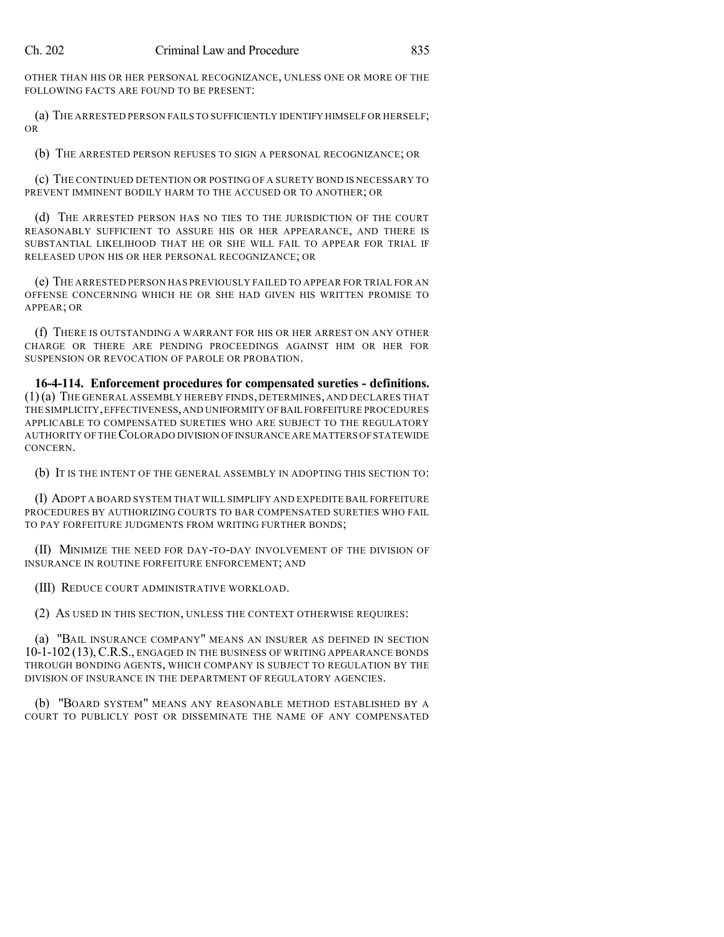OTHER THAN HIS OR HER PERSONAL RECOGNIZANCE, UNLESS ONE OR MORE OF THE FOLLOWING FACTS ARE FOUND TO BE PRESENT:

(a) THE ARRESTED PERSON FAILS TO SUFFICIENTLY IDENTIFY HIMSELF OR HERSELF; OR

(b) THE ARRESTED PERSON REFUSES TO SIGN A PERSONAL RECOGNIZANCE; OR

(c) THE CONTINUED DETENTION OR POSTING OF A SURETY BOND IS NECESSARY TO PREVENT IMMINENT BODILY HARM TO THE ACCUSED OR TO ANOTHER; OR

(d) THE ARRESTED PERSON HAS NO TIES TO THE JURISDICTION OF THE COURT REASONABLY SUFFICIENT TO ASSURE HIS OR HER APPEARANCE, AND THERE IS SUBSTANTIAL LIKELIHOOD THAT HE OR SHE WILL FAIL TO APPEAR FOR TRIAL IF RELEASED UPON HIS OR HER PERSONAL RECOGNIZANCE; OR

(e) THE ARRESTED PERSON HAS PREVIOUSLY FAILED TO APPEAR FOR TRIAL FOR AN OFFENSE CONCERNING WHICH HE OR SHE HAD GIVEN HIS WRITTEN PROMISE TO APPEAR; OR

(f) THERE IS OUTSTANDING A WARRANT FOR HIS OR HER ARREST ON ANY OTHER CHARGE OR THERE ARE PENDING PROCEEDINGS AGAINST HIM OR HER FOR SUSPENSION OR REVOCATION OF PAROLE OR PROBATION.

**16-4-114. Enforcement procedures for compensated sureties - definitions.** (1)(a) THE GENERAL ASSEMBLY HEREBY FINDS, DETERMINES, AND DECLARES THAT THE SIMPLICITY,EFFECTIVENESS,AND UNIFORMITY OFBAIL FORFEITURE PROCEDURES APPLICABLE TO COMPENSATED SURETIES WHO ARE SUBJECT TO THE REGULATORY AUTHORITY OF THECOLORADO DIVISION OFINSURANCE ARE MATTERS OFSTATEWIDE CONCERN.

(b) IT IS THE INTENT OF THE GENERAL ASSEMBLY IN ADOPTING THIS SECTION TO:

(I) ADOPT A BOARD SYSTEM THAT WILL SIMPLIFY AND EXPEDITE BAIL FORFEITURE PROCEDURES BY AUTHORIZING COURTS TO BAR COMPENSATED SURETIES WHO FAIL TO PAY FORFEITURE JUDGMENTS FROM WRITING FURTHER BONDS;

(II) MINIMIZE THE NEED FOR DAY-TO-DAY INVOLVEMENT OF THE DIVISION OF INSURANCE IN ROUTINE FORFEITURE ENFORCEMENT; AND

(III) REDUCE COURT ADMINISTRATIVE WORKLOAD.

(2) AS USED IN THIS SECTION, UNLESS THE CONTEXT OTHERWISE REQUIRES:

(a) "BAIL INSURANCE COMPANY" MEANS AN INSURER AS DEFINED IN SECTION 10-1-102 (13),C.R.S., ENGAGED IN THE BUSINESS OF WRITING APPEARANCE BONDS THROUGH BONDING AGENTS, WHICH COMPANY IS SUBJECT TO REGULATION BY THE DIVISION OF INSURANCE IN THE DEPARTMENT OF REGULATORY AGENCIES.

(b) "BOARD SYSTEM" MEANS ANY REASONABLE METHOD ESTABLISHED BY A COURT TO PUBLICLY POST OR DISSEMINATE THE NAME OF ANY COMPENSATED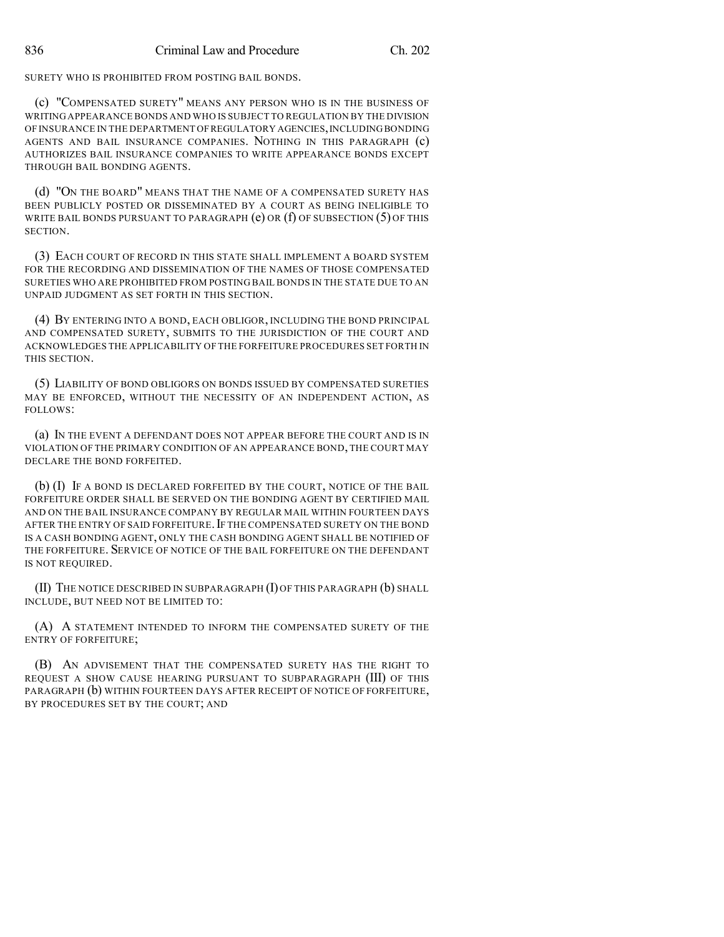SURETY WHO IS PROHIBITED FROM POSTING BAIL BONDS.

(c) "COMPENSATED SURETY" MEANS ANY PERSON WHO IS IN THE BUSINESS OF WRITING APPEARANCE BONDS AND WHO IS SUBJECT TO REGULATION BY THE DIVISION OF INSURANCE IN THE DEPARTMENT OF REGULATORY AGENCIES, INCLUDING BONDING AGENTS AND BAIL INSURANCE COMPANIES. NOTHING IN THIS PARAGRAPH (c) AUTHORIZES BAIL INSURANCE COMPANIES TO WRITE APPEARANCE BONDS EXCEPT THROUGH BAIL BONDING AGENTS.

(d) "ON THE BOARD" MEANS THAT THE NAME OF A COMPENSATED SURETY HAS BEEN PUBLICLY POSTED OR DISSEMINATED BY A COURT AS BEING INELIGIBLE TO WRITE BAIL BONDS PURSUANT TO PARAGRAPH  $(e)$  OR  $(f)$  OF SUBSECTION  $(5)$  OF THIS SECTION.

(3) EACH COURT OF RECORD IN THIS STATE SHALL IMPLEMENT A BOARD SYSTEM FOR THE RECORDING AND DISSEMINATION OF THE NAMES OF THOSE COMPENSATED SURETIES WHO ARE PROHIBITED FROM POSTING BAIL BONDS IN THE STATE DUE TO AN UNPAID JUDGMENT AS SET FORTH IN THIS SECTION.

(4) BY ENTERING INTO A BOND, EACH OBLIGOR, INCLUDING THE BOND PRINCIPAL AND COMPENSATED SURETY, SUBMITS TO THE JURISDICTION OF THE COURT AND ACKNOWLEDGES THE APPLICABILITY OF THE FORFEITURE PROCEDURES SET FORTH IN THIS SECTION.

(5) LIABILITY OF BOND OBLIGORS ON BONDS ISSUED BY COMPENSATED SURETIES MAY BE ENFORCED, WITHOUT THE NECESSITY OF AN INDEPENDENT ACTION, AS FOLLOWS:

(a) IN THE EVENT A DEFENDANT DOES NOT APPEAR BEFORE THE COURT AND IS IN VIOLATION OF THE PRIMARY CONDITION OF AN APPEARANCE BOND, THE COURT MAY DECLARE THE BOND FORFEITED.

(b) (I) IF A BOND IS DECLARED FORFEITED BY THE COURT, NOTICE OF THE BAIL FORFEITURE ORDER SHALL BE SERVED ON THE BONDING AGENT BY CERTIFIED MAIL AND ON THE BAIL INSURANCE COMPANY BY REGULAR MAIL WITHIN FOURTEEN DAYS AFTER THE ENTRY OF SAID FORFEITURE.IF THE COMPENSATED SURETY ON THE BOND IS A CASH BONDING AGENT, ONLY THE CASH BONDING AGENT SHALL BE NOTIFIED OF THE FORFEITURE. SERVICE OF NOTICE OF THE BAIL FORFEITURE ON THE DEFENDANT IS NOT REQUIRED.

(II) THE NOTICE DESCRIBED IN SUBPARAGRAPH (I) OF THIS PARAGRAPH (b) SHALL INCLUDE, BUT NEED NOT BE LIMITED TO:

(A) A STATEMENT INTENDED TO INFORM THE COMPENSATED SURETY OF THE ENTRY OF FORFEITURE;

(B) AN ADVISEMENT THAT THE COMPENSATED SURETY HAS THE RIGHT TO REQUEST A SHOW CAUSE HEARING PURSUANT TO SUBPARAGRAPH (III) OF THIS PARAGRAPH (b) WITHIN FOURTEEN DAYS AFTER RECEIPT OF NOTICE OF FORFEITURE, BY PROCEDURES SET BY THE COURT; AND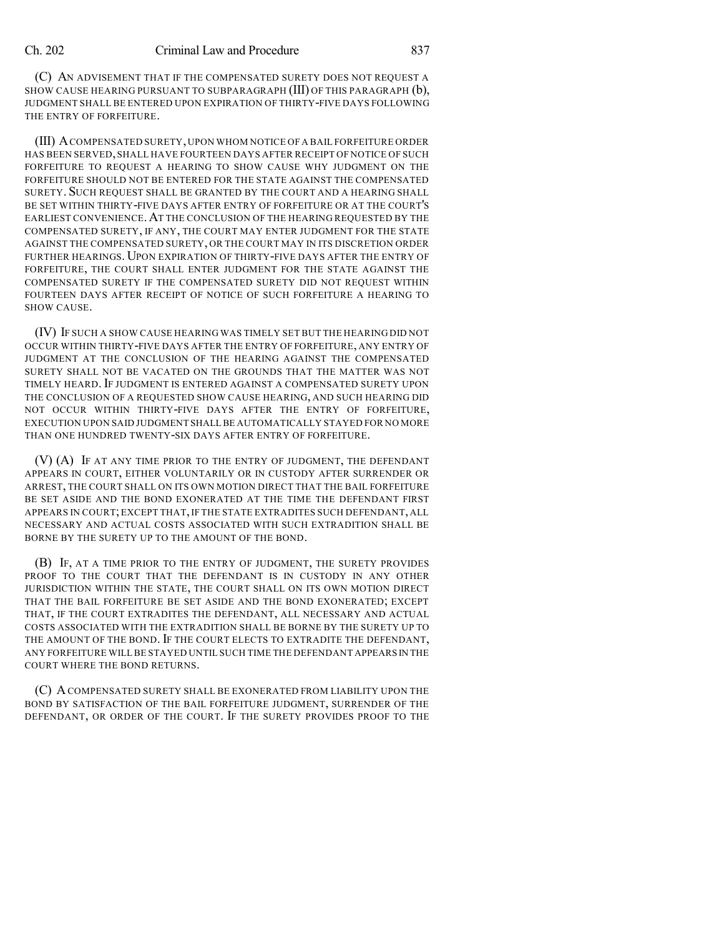(C) AN ADVISEMENT THAT IF THE COMPENSATED SURETY DOES NOT REQUEST A SHOW CAUSE HEARING PURSUANT TO SUBPARAGRAPH (III) OF THIS PARAGRAPH (b), JUDGMENT SHALL BE ENTERED UPON EXPIRATION OF THIRTY-FIVE DAYS FOLLOWING THE ENTRY OF FORFEITURE.

(III) ACOMPENSATED SURETY,UPON WHOM NOTICE OF A BAIL FORFEITURE ORDER HAS BEEN SERVED,SHALL HAVE FOURTEEN DAYS AFTER RECEIPT OF NOTICE OF SUCH FORFEITURE TO REQUEST A HEARING TO SHOW CAUSE WHY JUDGMENT ON THE FORFEITURE SHOULD NOT BE ENTERED FOR THE STATE AGAINST THE COMPENSATED SURETY. SUCH REQUEST SHALL BE GRANTED BY THE COURT AND A HEARING SHALL BE SET WITHIN THIRTY-FIVE DAYS AFTER ENTRY OF FORFEITURE OR AT THE COURT'S EARLIEST CONVENIENCE.AT THE CONCLUSION OF THE HEARING REQUESTED BY THE COMPENSATED SURETY, IF ANY, THE COURT MAY ENTER JUDGMENT FOR THE STATE AGAINST THE COMPENSATED SURETY, OR THE COURT MAY IN ITS DISCRETION ORDER FURTHER HEARINGS. UPON EXPIRATION OF THIRTY-FIVE DAYS AFTER THE ENTRY OF FORFEITURE, THE COURT SHALL ENTER JUDGMENT FOR THE STATE AGAINST THE COMPENSATED SURETY IF THE COMPENSATED SURETY DID NOT REQUEST WITHIN FOURTEEN DAYS AFTER RECEIPT OF NOTICE OF SUCH FORFEITURE A HEARING TO SHOW CAUSE.

(IV) IF SUCH A SHOW CAUSE HEARING WAS TIMELY SET BUT THE HEARING DID NOT OCCUR WITHIN THIRTY-FIVE DAYS AFTER THE ENTRY OF FORFEITURE, ANY ENTRY OF JUDGMENT AT THE CONCLUSION OF THE HEARING AGAINST THE COMPENSATED SURETY SHALL NOT BE VACATED ON THE GROUNDS THAT THE MATTER WAS NOT TIMELY HEARD. IF JUDGMENT IS ENTERED AGAINST A COMPENSATED SURETY UPON THE CONCLUSION OF A REQUESTED SHOW CAUSE HEARING, AND SUCH HEARING DID NOT OCCUR WITHIN THIRTY-FIVE DAYS AFTER THE ENTRY OF FORFEITURE, EXECUTION UPON SAID JUDGMENT SHALL BE AUTOMATICALLY STAYED FOR NO MORE THAN ONE HUNDRED TWENTY-SIX DAYS AFTER ENTRY OF FORFEITURE.

(V) (A) IF AT ANY TIME PRIOR TO THE ENTRY OF JUDGMENT, THE DEFENDANT APPEARS IN COURT, EITHER VOLUNTARILY OR IN CUSTODY AFTER SURRENDER OR ARREST, THE COURT SHALL ON ITS OWN MOTION DIRECT THAT THE BAIL FORFEITURE BE SET ASIDE AND THE BOND EXONERATED AT THE TIME THE DEFENDANT FIRST APPEARS IN COURT; EXCEPT THAT, IF THE STATE EXTRADITES SUCH DEFENDANT, ALL NECESSARY AND ACTUAL COSTS ASSOCIATED WITH SUCH EXTRADITION SHALL BE BORNE BY THE SURETY UP TO THE AMOUNT OF THE BOND.

(B) IF, AT A TIME PRIOR TO THE ENTRY OF JUDGMENT, THE SURETY PROVIDES PROOF TO THE COURT THAT THE DEFENDANT IS IN CUSTODY IN ANY OTHER JURISDICTION WITHIN THE STATE, THE COURT SHALL ON ITS OWN MOTION DIRECT THAT THE BAIL FORFEITURE BE SET ASIDE AND THE BOND EXONERATED; EXCEPT THAT, IF THE COURT EXTRADITES THE DEFENDANT, ALL NECESSARY AND ACTUAL COSTS ASSOCIATED WITH THE EXTRADITION SHALL BE BORNE BY THE SURETY UP TO THE AMOUNT OF THE BOND. IF THE COURT ELECTS TO EXTRADITE THE DEFENDANT, ANY FORFEITURE WILL BE STAYED UNTIL SUCH TIME THE DEFENDANT APPEARS IN THE COURT WHERE THE BOND RETURNS.

(C) ACOMPENSATED SURETY SHALL BE EXONERATED FROM LIABILITY UPON THE BOND BY SATISFACTION OF THE BAIL FORFEITURE JUDGMENT, SURRENDER OF THE DEFENDANT, OR ORDER OF THE COURT. IF THE SURETY PROVIDES PROOF TO THE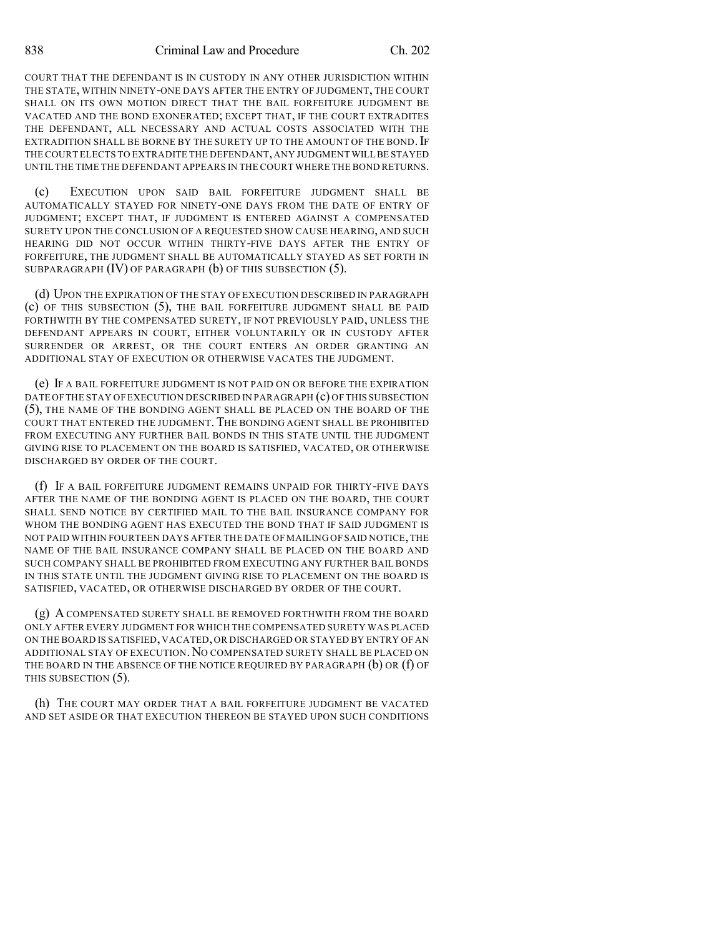COURT THAT THE DEFENDANT IS IN CUSTODY IN ANY OTHER JURISDICTION WITHIN THE STATE, WITHIN NINETY-ONE DAYS AFTER THE ENTRY OF JUDGMENT, THE COURT SHALL ON ITS OWN MOTION DIRECT THAT THE BAIL FORFEITURE JUDGMENT BE VACATED AND THE BOND EXONERATED; EXCEPT THAT, IF THE COURT EXTRADITES THE DEFENDANT, ALL NECESSARY AND ACTUAL COSTS ASSOCIATED WITH THE EXTRADITION SHALL BE BORNE BY THE SURETY UP TO THE AMOUNT OF THE BOND. IF THE COURT ELECTS TO EXTRADITE THE DEFENDANT,ANY JUDGMENT WILL BE STAYED UNTIL THE TIME THE DEFENDANT APPEARS IN THE COURT WHERE THE BOND RETURNS.

(c) EXECUTION UPON SAID BAIL FORFEITURE JUDGMENT SHALL BE AUTOMATICALLY STAYED FOR NINETY-ONE DAYS FROM THE DATE OF ENTRY OF JUDGMENT; EXCEPT THAT, IF JUDGMENT IS ENTERED AGAINST A COMPENSATED SURETY UPON THE CONCLUSION OF A REQUESTED SHOW CAUSE HEARING, AND SUCH HEARING DID NOT OCCUR WITHIN THIRTY-FIVE DAYS AFTER THE ENTRY OF FORFEITURE, THE JUDGMENT SHALL BE AUTOMATICALLY STAYED AS SET FORTH IN SUBPARAGRAPH (IV) OF PARAGRAPH (b) OF THIS SUBSECTION (5).

(d) UPON THE EXPIRATION OF THE STAY OF EXECUTION DESCRIBED IN PARAGRAPH (c) OF THIS SUBSECTION (5), THE BAIL FORFEITURE JUDGMENT SHALL BE PAID FORTHWITH BY THE COMPENSATED SURETY, IF NOT PREVIOUSLY PAID, UNLESS THE DEFENDANT APPEARS IN COURT, EITHER VOLUNTARILY OR IN CUSTODY AFTER SURRENDER OR ARREST, OR THE COURT ENTERS AN ORDER GRANTING AN ADDITIONAL STAY OF EXECUTION OR OTHERWISE VACATES THE JUDGMENT.

(e) IF A BAIL FORFEITURE JUDGMENT IS NOT PAID ON OR BEFORE THE EXPIRATION DATE OFTHE STAY OF EXECUTION DESCRIBED IN PARAGRAPH (c) OF THIS SUBSECTION (5), THE NAME OF THE BONDING AGENT SHALL BE PLACED ON THE BOARD OF THE COURT THAT ENTERED THE JUDGMENT. THE BONDING AGENT SHALL BE PROHIBITED FROM EXECUTING ANY FURTHER BAIL BONDS IN THIS STATE UNTIL THE JUDGMENT GIVING RISE TO PLACEMENT ON THE BOARD IS SATISFIED, VACATED, OR OTHERWISE DISCHARGED BY ORDER OF THE COURT.

(f) IF A BAIL FORFEITURE JUDGMENT REMAINS UNPAID FOR THIRTY-FIVE DAYS AFTER THE NAME OF THE BONDING AGENT IS PLACED ON THE BOARD, THE COURT SHALL SEND NOTICE BY CERTIFIED MAIL TO THE BAIL INSURANCE COMPANY FOR WHOM THE BONDING AGENT HAS EXECUTED THE BOND THAT IF SAID JUDGMENT IS NOT PAID WITHIN FOURTEEN DAYS AFTER THE DATE OF MAILING OF SAID NOTICE,THE NAME OF THE BAIL INSURANCE COMPANY SHALL BE PLACED ON THE BOARD AND SUCH COMPANY SHALL BE PROHIBITED FROM EXECUTING ANY FURTHER BAIL BONDS IN THIS STATE UNTIL THE JUDGMENT GIVING RISE TO PLACEMENT ON THE BOARD IS SATISFIED, VACATED, OR OTHERWISE DISCHARGED BY ORDER OF THE COURT.

(g) A COMPENSATED SURETY SHALL BE REMOVED FORTHWITH FROM THE BOARD ONLY AFTER EVERY JUDGMENT FOR WHICH THE COMPENSATED SURETY WAS PLACED ON THE BOARD IS SATISFIED, VACATED, OR DISCHARGED OR STAYED BY ENTRY OF AN ADDITIONAL STAY OF EXECUTION.NO COMPENSATED SURETY SHALL BE PLACED ON THE BOARD IN THE ABSENCE OF THE NOTICE REQUIRED BY PARAGRAPH (b) OR (f) OF THIS SUBSECTION (5).

(h) THE COURT MAY ORDER THAT A BAIL FORFEITURE JUDGMENT BE VACATED AND SET ASIDE OR THAT EXECUTION THEREON BE STAYED UPON SUCH CONDITIONS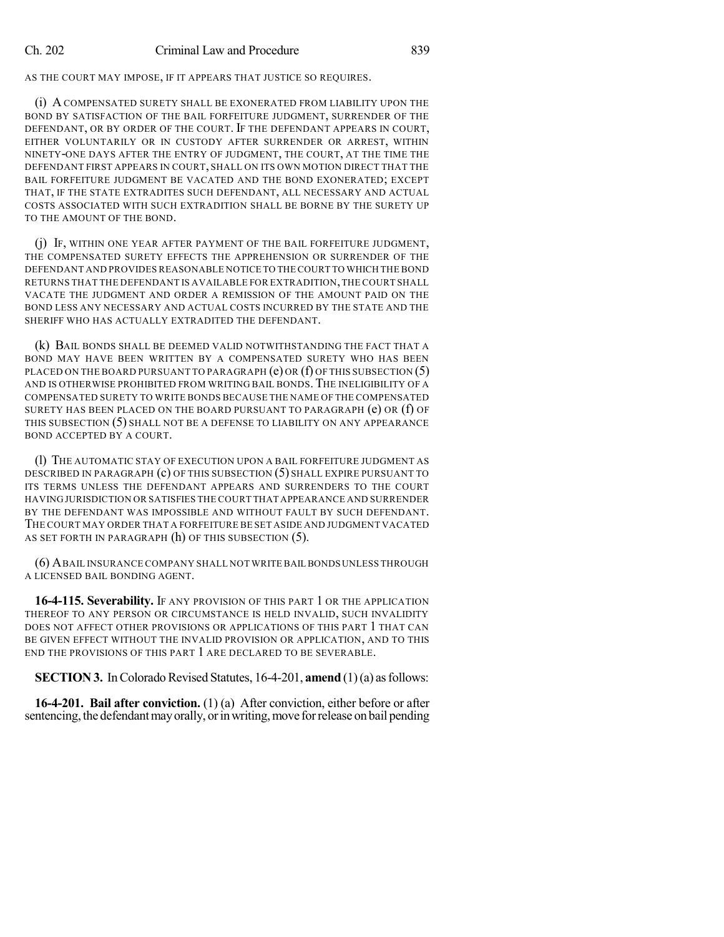AS THE COURT MAY IMPOSE, IF IT APPEARS THAT JUSTICE SO REQUIRES.

(i) A COMPENSATED SURETY SHALL BE EXONERATED FROM LIABILITY UPON THE BOND BY SATISFACTION OF THE BAIL FORFEITURE JUDGMENT, SURRENDER OF THE DEFENDANT, OR BY ORDER OF THE COURT. IF THE DEFENDANT APPEARS IN COURT, EITHER VOLUNTARILY OR IN CUSTODY AFTER SURRENDER OR ARREST, WITHIN NINETY-ONE DAYS AFTER THE ENTRY OF JUDGMENT, THE COURT, AT THE TIME THE DEFENDANT FIRST APPEARS IN COURT, SHALL ON ITS OWN MOTION DIRECT THAT THE BAIL FORFEITURE JUDGMENT BE VACATED AND THE BOND EXONERATED; EXCEPT THAT, IF THE STATE EXTRADITES SUCH DEFENDANT, ALL NECESSARY AND ACTUAL COSTS ASSOCIATED WITH SUCH EXTRADITION SHALL BE BORNE BY THE SURETY UP TO THE AMOUNT OF THE BOND.

(j) IF, WITHIN ONE YEAR AFTER PAYMENT OF THE BAIL FORFEITURE JUDGMENT, THE COMPENSATED SURETY EFFECTS THE APPREHENSION OR SURRENDER OF THE DEFENDANT AND PROVIDES REASONABLE NOTICE TO THE COURT TO WHICH THE BOND RETURNS THAT THE DEFENDANT IS AVAILABLE FOR EXTRADITION,THE COURT SHALL VACATE THE JUDGMENT AND ORDER A REMISSION OF THE AMOUNT PAID ON THE BOND LESS ANY NECESSARY AND ACTUAL COSTS INCURRED BY THE STATE AND THE SHERIFF WHO HAS ACTUALLY EXTRADITED THE DEFENDANT.

(k) BAIL BONDS SHALL BE DEEMED VALID NOTWITHSTANDING THE FACT THAT A BOND MAY HAVE BEEN WRITTEN BY A COMPENSATED SURETY WHO HAS BEEN PLACED ON THE BOARD PURSUANT TO PARAGRAPH  $(e)$  OR  $(f)$  Of This SUBSECTION  $(5)$ AND IS OTHERWISE PROHIBITED FROM WRITING BAIL BONDS.THE INELIGIBILITY OF A COMPENSATED SURETY TO WRITE BONDS BECAUSE THE NAME OF THE COMPENSATED SURETY HAS BEEN PLACED ON THE BOARD PURSUANT TO PARAGRAPH  $(e)$  OR  $(f)$  OF THIS SUBSECTION (5) SHALL NOT BE A DEFENSE TO LIABILITY ON ANY APPEARANCE BOND ACCEPTED BY A COURT.

(l) THE AUTOMATIC STAY OF EXECUTION UPON A BAIL FORFEITURE JUDGMENT AS DESCRIBED IN PARAGRAPH (c) OF THIS SUBSECTION (5) SHALL EXPIRE PURSUANT TO ITS TERMS UNLESS THE DEFENDANT APPEARS AND SURRENDERS TO THE COURT HAVING JURISDICTION OR SATISFIES THE COURT THAT APPEARANCE AND SURRENDER BY THE DEFENDANT WAS IMPOSSIBLE AND WITHOUT FAULT BY SUCH DEFENDANT. THE COURT MAY ORDER THAT A FORFEITURE BE SET ASIDE AND JUDGMENT VACATED AS SET FORTH IN PARAGRAPH (h) OF THIS SUBSECTION (5).

(6) ABAIL INSURANCE COMPANY SHALL NOT WRITE BAIL BONDS UNLESS THROUGH A LICENSED BAIL BONDING AGENT.

**16-4-115. Severability.** IF ANY PROVISION OF THIS PART 1 OR THE APPLICATION THEREOF TO ANY PERSON OR CIRCUMSTANCE IS HELD INVALID, SUCH INVALIDITY DOES NOT AFFECT OTHER PROVISIONS OR APPLICATIONS OF THIS PART 1 THAT CAN BE GIVEN EFFECT WITHOUT THE INVALID PROVISION OR APPLICATION, AND TO THIS END THE PROVISIONS OF THIS PART 1 ARE DECLARED TO BE SEVERABLE.

**SECTION 3.** In Colorado Revised Statutes, 16-4-201, **amend** (1)(a) as follows:

**16-4-201. Bail after conviction.** (1) (a) After conviction, either before or after sentencing, the defendant may orally, or in writing, move for release on bail pending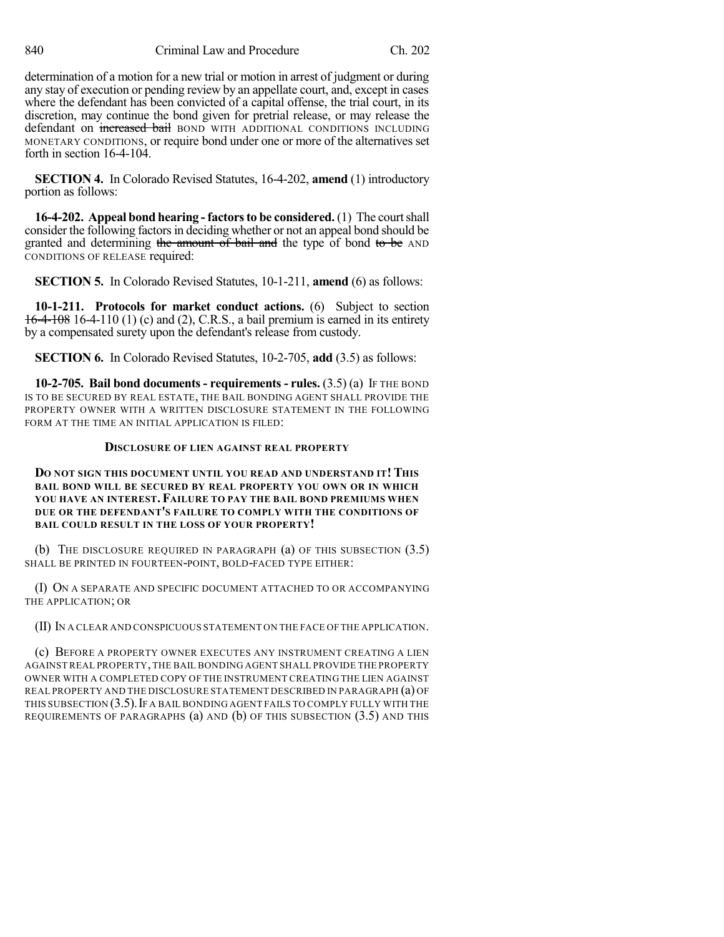determination of a motion for a new trial or motion in arrest of judgment or during any stay of execution or pending review by an appellate court, and, except in cases where the defendant has been convicted of a capital offense, the trial court, in its discretion, may continue the bond given for pretrial release, or may release the defendant on increased bail BOND WITH ADDITIONAL CONDITIONS INCLUDING MONETARY CONDITIONS, or require bond under one or more of the alternatives set forth in section 16-4-104.

**SECTION 4.** In Colorado Revised Statutes, 16-4-202, **amend** (1) introductory portion as follows:

**16-4-202. Appeal bond hearing - factorsto be considered.** (1) The courtshall consider the following factorsin deciding whether or not an appeal bond should be granted and determining the amount of bail and the type of bond to be AND CONDITIONS OF RELEASE required:

**SECTION 5.** In Colorado Revised Statutes, 10-1-211, **amend** (6) as follows:

**10-1-211. Protocols for market conduct actions.** (6) Subject to section 16-4-108 16-4-110 (1) (c) and (2), C.R.S., a bail premium is earned in its entirety by a compensated surety upon the defendant's release from custody.

**SECTION 6.** In Colorado Revised Statutes, 10-2-705, **add** (3.5) as follows:

**10-2-705. Bail bond documents - requirements - rules.** (3.5) (a) IF THE BOND IS TO BE SECURED BY REAL ESTATE, THE BAIL BONDING AGENT SHALL PROVIDE THE PROPERTY OWNER WITH A WRITTEN DISCLOSURE STATEMENT IN THE FOLLOWING FORM AT THE TIME AN INITIAL APPLICATION IS FILED:

# **DISCLOSURE OF LIEN AGAINST REAL PROPERTY**

### **DO NOT SIGN THIS DOCUMENT UNTIL YOU READ AND UNDERSTAND IT! THIS BAIL BOND WILL BE SECURED BY REAL PROPERTY YOU OWN OR IN WHICH YOU HAVE AN INTEREST.FAILURE TO PAY THE BAIL BOND PREMIUMS WHEN DUE OR THE DEFENDANT'S FAILURE TO COMPLY WITH THE CONDITIONS OF BAIL COULD RESULT IN THE LOSS OF YOUR PROPERTY!**

(b) THE DISCLOSURE REQUIRED IN PARAGRAPH (a) OF THIS SUBSECTION (3.5) SHALL BE PRINTED IN FOURTEEN-POINT, BOLD-FACED TYPE EITHER:

(I) ON A SEPARATE AND SPECIFIC DOCUMENT ATTACHED TO OR ACCOMPANYING THE APPLICATION; OR

(II) IN A CLEAR AND CONSPICUOUS STATEMENT ON THE FACE OF THE APPLICATION.

(c) BEFORE A PROPERTY OWNER EXECUTES ANY INSTRUMENT CREATING A LIEN AGAINST REAL PROPERTY,THE BAIL BONDING AGENT SHALL PROVIDE THE PROPERTY OWNER WITH A COMPLETED COPY OF THE INSTRUMENT CREATING THE LIEN AGAINST REAL PROPERTY AND THE DISCLOSURE STATEMENT DESCRIBED IN PARAGRAPH (a) OF THIS SUBSECTION  $(3.5)$ . If A BAIL BONDING AGENT FAILS TO COMPLY FULLY WITH THE REQUIREMENTS OF PARAGRAPHS (a) AND (b) OF THIS SUBSECTION (3.5) AND THIS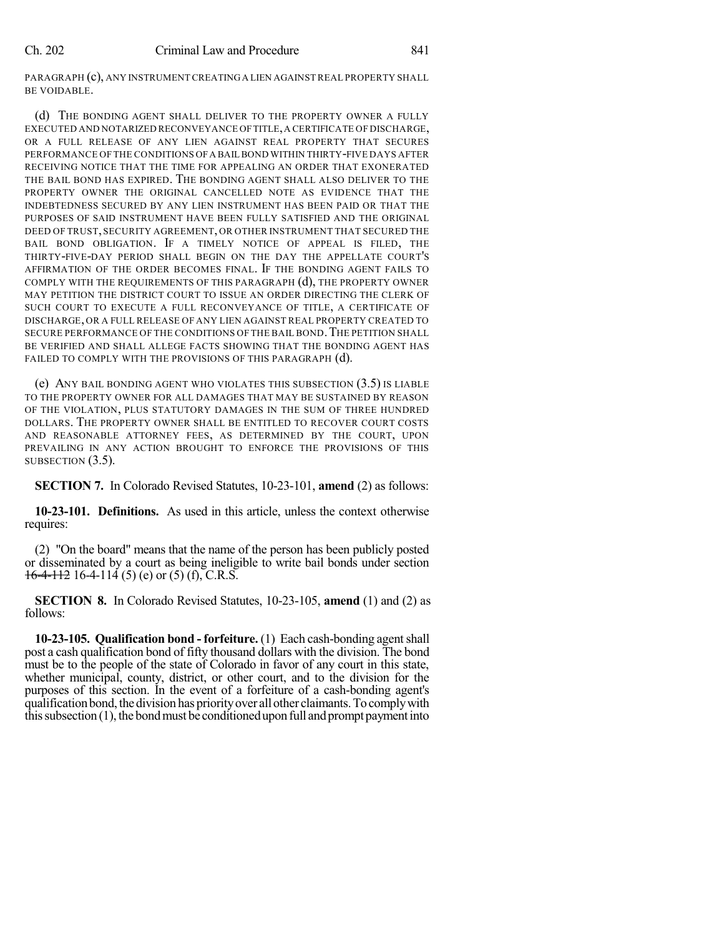PARAGRAPH (c), ANY INSTRUMENT CREATINGA LIEN AGAINST REAL PROPERTY SHALL BE VOIDABLE.

(d) THE BONDING AGENT SHALL DELIVER TO THE PROPERTY OWNER A FULLY EXECUTED AND NOTARIZED RECONVEYANCE OFTITLE,A CERTIFICATE OF DISCHARGE, OR A FULL RELEASE OF ANY LIEN AGAINST REAL PROPERTY THAT SECURES PERFORMANCE OF THE CONDITIONS OFA BAIL BOND WITHIN THIRTY-FIVE DAYS AFTER RECEIVING NOTICE THAT THE TIME FOR APPEALING AN ORDER THAT EXONERATED THE BAIL BOND HAS EXPIRED. THE BONDING AGENT SHALL ALSO DELIVER TO THE PROPERTY OWNER THE ORIGINAL CANCELLED NOTE AS EVIDENCE THAT THE INDEBTEDNESS SECURED BY ANY LIEN INSTRUMENT HAS BEEN PAID OR THAT THE PURPOSES OF SAID INSTRUMENT HAVE BEEN FULLY SATISFIED AND THE ORIGINAL DEED OF TRUST, SECURITY AGREEMENT, OR OTHER INSTRUMENT THAT SECURED THE BAIL BOND OBLIGATION. IF A TIMELY NOTICE OF APPEAL IS FILED, THE THIRTY-FIVE-DAY PERIOD SHALL BEGIN ON THE DAY THE APPELLATE COURT'S AFFIRMATION OF THE ORDER BECOMES FINAL. IF THE BONDING AGENT FAILS TO COMPLY WITH THE REQUIREMENTS OF THIS PARAGRAPH (d), THE PROPERTY OWNER MAY PETITION THE DISTRICT COURT TO ISSUE AN ORDER DIRECTING THE CLERK OF SUCH COURT TO EXECUTE A FULL RECONVEYANCE OF TITLE, A CERTIFICATE OF DISCHARGE, OR A FULL RELEASE OF ANY LIEN AGAINST REAL PROPERTY CREATED TO SECURE PERFORMANCE OF THE CONDITIONS OF THE BAIL BOND. THE PETITION SHALL BE VERIFIED AND SHALL ALLEGE FACTS SHOWING THAT THE BONDING AGENT HAS FAILED TO COMPLY WITH THE PROVISIONS OF THIS PARAGRAPH (d).

(e) ANY BAIL BONDING AGENT WHO VIOLATES THIS SUBSECTION (3.5) IS LIABLE TO THE PROPERTY OWNER FOR ALL DAMAGES THAT MAY BE SUSTAINED BY REASON OF THE VIOLATION, PLUS STATUTORY DAMAGES IN THE SUM OF THREE HUNDRED DOLLARS. THE PROPERTY OWNER SHALL BE ENTITLED TO RECOVER COURT COSTS AND REASONABLE ATTORNEY FEES, AS DETERMINED BY THE COURT, UPON PREVAILING IN ANY ACTION BROUGHT TO ENFORCE THE PROVISIONS OF THIS SUBSECTION  $(3.5)$ .

**SECTION 7.** In Colorado Revised Statutes, 10-23-101, **amend** (2) as follows:

**10-23-101. Definitions.** As used in this article, unless the context otherwise requires:

(2) "On the board" means that the name of the person has been publicly posted or disseminated by a court as being ineligible to write bail bonds under section  $16-4-112$  16-4-114 (5) (e) or (5) (f), C.R.S.

**SECTION 8.** In Colorado Revised Statutes, 10-23-105, **amend** (1) and (2) as follows:

**10-23-105. Qualification bond - forfeiture.** (1) Each cash-bonding agentshall post a cash qualification bond of fifty thousand dollars with the division. The bond must be to the people of the state of Colorado in favor of any court in this state, whether municipal, county, district, or other court, and to the division for the purposes of this section. In the event of a forfeiture of a cash-bonding agent's qualification bond, the division has priority over all other claimants. To comply with this subsection  $(1)$ , the bond must be conditioned upon full and prompt payment into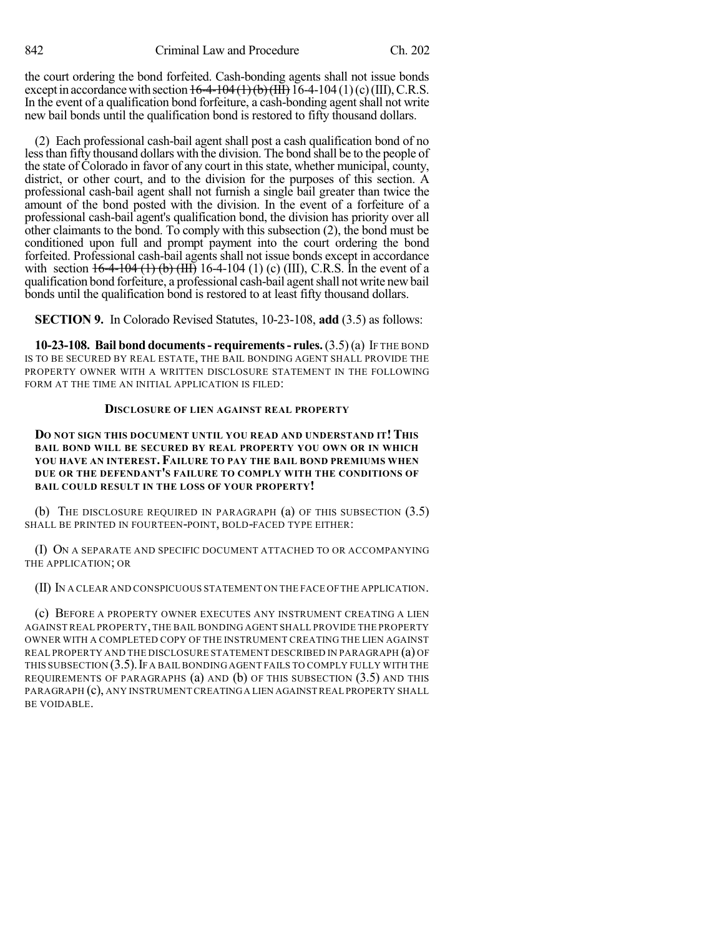the court ordering the bond forfeited. Cash-bonding agents shall not issue bonds except in accordance with section  $16-4-104(1)(b)(III)$  16-4-104 (1)(c)(III), C.R.S. In the event of a qualification bond for feiture, a cash-bonding agent shall not write new bail bonds until the qualification bond is restored to fifty thousand dollars.

(2) Each professional cash-bail agent shall post a cash qualification bond of no lessthan fifty thousand dollars with the division. The bond shall be to the people of the state of Colorado in favor of any court in this state, whether municipal, county, district, or other court, and to the division for the purposes of this section. A professional cash-bail agent shall not furnish a single bail greater than twice the amount of the bond posted with the division. In the event of a forfeiture of a professional cash-bail agent's qualification bond, the division has priority over all other claimants to the bond. To comply with this subsection (2), the bond must be conditioned upon full and prompt payment into the court ordering the bond forfeited. Professional cash-bail agents shall not issue bonds except in accordance with section  $16-4-104$  (1) (b) (III) 16-4-104 (1) (c) (III), C.R.S. In the event of a qualification bond forfeiture, a professional cash-bail agent shall not write new bail bonds until the qualification bond is restored to at least fifty thousand dollars.

**SECTION 9.** In Colorado Revised Statutes, 10-23-108, **add** (3.5) as follows:

**10-23-108. Bail bond documents- requirements- rules.**(3.5)(a) IF THE BOND IS TO BE SECURED BY REAL ESTATE, THE BAIL BONDING AGENT SHALL PROVIDE THE PROPERTY OWNER WITH A WRITTEN DISCLOSURE STATEMENT IN THE FOLLOWING FORM AT THE TIME AN INITIAL APPLICATION IS FILED:

### **DISCLOSURE OF LIEN AGAINST REAL PROPERTY**

**DO NOT SIGN THIS DOCUMENT UNTIL YOU READ AND UNDERSTAND IT!THIS BAIL BOND WILL BE SECURED BY REAL PROPERTY YOU OWN OR IN WHICH YOU HAVE AN INTEREST. FAILURE TO PAY THE BAIL BOND PREMIUMS WHEN DUE OR THE DEFENDANT'S FAILURE TO COMPLY WITH THE CONDITIONS OF BAIL COULD RESULT IN THE LOSS OF YOUR PROPERTY!**

(b) THE DISCLOSURE REQUIRED IN PARAGRAPH  $(a)$  OF THIS SUBSECTION  $(3.5)$ SHALL BE PRINTED IN FOURTEEN-POINT, BOLD-FACED TYPE EITHER:

(I) ON A SEPARATE AND SPECIFIC DOCUMENT ATTACHED TO OR ACCOMPANYING THE APPLICATION; OR

(II) IN A CLEAR AND CONSPICUOUS STATEMENT ON THE FACE OFTHE APPLICATION.

(c) BEFORE A PROPERTY OWNER EXECUTES ANY INSTRUMENT CREATING A LIEN AGAINST REAL PROPERTY,THE BAIL BONDING AGENT SHALL PROVIDE THE PROPERTY OWNER WITH A COMPLETED COPY OF THE INSTRUMENT CREATING THE LIEN AGAINST REAL PROPERTY AND THE DISCLOSURE STATEMENT DESCRIBED IN PARAGRAPH (a) OF THIS SUBSECTION  $(3.5)$ . If A BAIL BONDING AGENT FAILS TO COMPLY FULLY WITH THE REQUIREMENTS OF PARAGRAPHS (a) AND (b) OF THIS SUBSECTION (3.5) AND THIS PARAGRAPH (c), ANY INSTRUMENT CREATINGA LIEN AGAINST REAL PROPERTY SHALL BE VOIDABLE.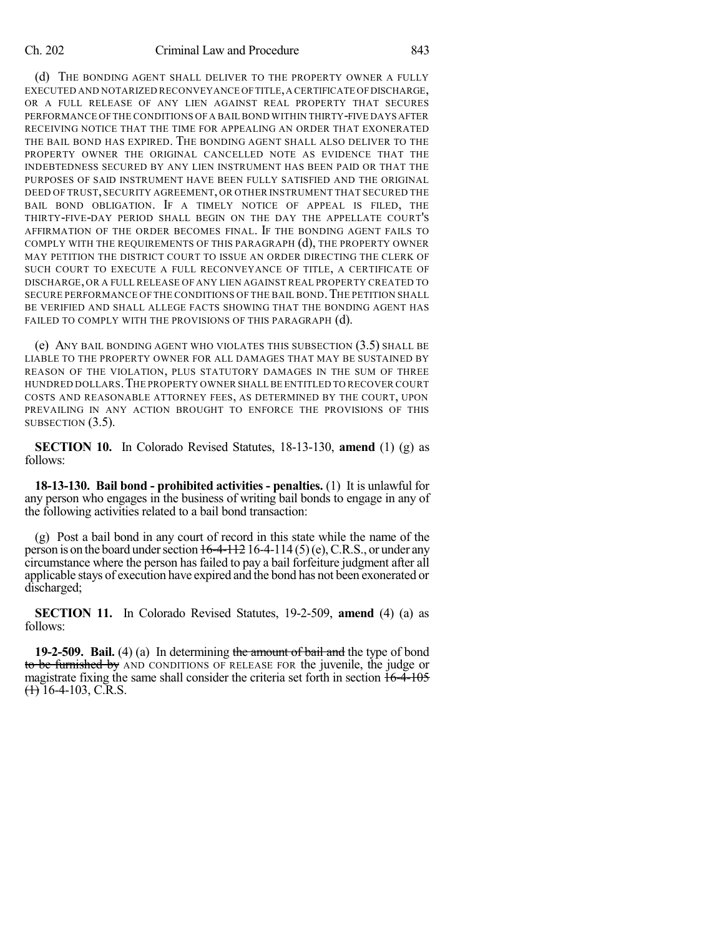(d) THE BONDING AGENT SHALL DELIVER TO THE PROPERTY OWNER A FULLY EXECUTED AND NOTARIZED RECONVEYANCE OFTITLE,A CERTIFICATE OFDISCHARGE, OR A FULL RELEASE OF ANY LIEN AGAINST REAL PROPERTY THAT SECURES PERFORMANCE OF THE CONDITIONS OF A BAILBOND WITHIN THIRTY-FIVE DAYS AFTER RECEIVING NOTICE THAT THE TIME FOR APPEALING AN ORDER THAT EXONERATED THE BAIL BOND HAS EXPIRED. THE BONDING AGENT SHALL ALSO DELIVER TO THE PROPERTY OWNER THE ORIGINAL CANCELLED NOTE AS EVIDENCE THAT THE INDEBTEDNESS SECURED BY ANY LIEN INSTRUMENT HAS BEEN PAID OR THAT THE PURPOSES OF SAID INSTRUMENT HAVE BEEN FULLY SATISFIED AND THE ORIGINAL DEED OF TRUST, SECURITY AGREEMENT, OR OTHER INSTRUMENT THAT SECURED THE BAIL BOND OBLIGATION. IF A TIMELY NOTICE OF APPEAL IS FILED, THE THIRTY-FIVE-DAY PERIOD SHALL BEGIN ON THE DAY THE APPELLATE COURT'S AFFIRMATION OF THE ORDER BECOMES FINAL. IF THE BONDING AGENT FAILS TO COMPLY WITH THE REQUIREMENTS OF THIS PARAGRAPH (d), THE PROPERTY OWNER MAY PETITION THE DISTRICT COURT TO ISSUE AN ORDER DIRECTING THE CLERK OF SUCH COURT TO EXECUTE A FULL RECONVEYANCE OF TITLE, A CERTIFICATE OF DISCHARGE, OR A FULL RELEASE OF ANY LIEN AGAINST REAL PROPERTY CREATED TO SECURE PERFORMANCE OF THE CONDITIONS OF THE BAIL BOND. THE PETITION SHALL BE VERIFIED AND SHALL ALLEGE FACTS SHOWING THAT THE BONDING AGENT HAS FAILED TO COMPLY WITH THE PROVISIONS OF THIS PARAGRAPH (d).

(e) ANY BAIL BONDING AGENT WHO VIOLATES THIS SUBSECTION (3.5) SHALL BE LIABLE TO THE PROPERTY OWNER FOR ALL DAMAGES THAT MAY BE SUSTAINED BY REASON OF THE VIOLATION, PLUS STATUTORY DAMAGES IN THE SUM OF THREE HUNDRED DOLLARS.THE PROPERTY OWNER SHALL BE ENTITLED TO RECOVER COURT COSTS AND REASONABLE ATTORNEY FEES, AS DETERMINED BY THE COURT, UPON PREVAILING IN ANY ACTION BROUGHT TO ENFORCE THE PROVISIONS OF THIS SUBSECTION  $(3.5)$ .

**SECTION 10.** In Colorado Revised Statutes, 18-13-130, **amend** (1) (g) as follows:

**18-13-130. Bail bond - prohibited activities - penalties.** (1) It is unlawful for any person who engages in the business of writing bail bonds to engage in any of the following activities related to a bail bond transaction:

(g) Post a bail bond in any court of record in this state while the name of the person is on the board under section  $16-4-112$  16-4-114 (5)(e), C.R.S., or under any circumstance where the person has failed to pay a bail forfeiture judgment after all applicable stays of execution have expired and the bond has not been exonerated or discharged;

**SECTION 11.** In Colorado Revised Statutes, 19-2-509, **amend** (4) (a) as follows:

**19-2-509. Bail.** (4) (a) In determining the amount of bail and the type of bond to be furnished by AND CONDITIONS OF RELEASE FOR the juvenile, the judge or magistrate fixing the same shall consider the criteria set forth in section  $16-4-105$  $\leftrightarrow$  16-4-103, C.R.S.